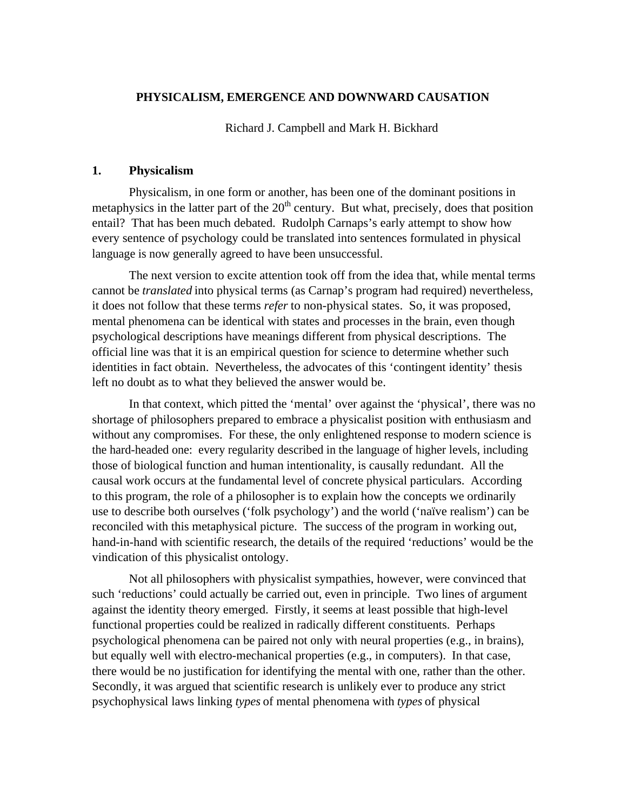## **PHYSICALISM, EMERGENCE AND DOWNWARD CAUSATION**

Richard J. Campbell and Mark H. Bickhard

### **1. Physicalism**

Physicalism, in one form or another, has been one of the dominant positions in metaphysics in the latter part of the  $20<sup>th</sup>$  century. But what, precisely, does that position entail? That has been much debated. Rudolph Carnaps's early attempt to show how every sentence of psychology could be translated into sentences formulated in physical language is now generally agreed to have been unsuccessful.

The next version to excite attention took off from the idea that, while mental terms cannot be *translated* into physical terms (as Carnap's program had required) nevertheless, it does not follow that these terms *refer* to non-physical states. So, it was proposed, mental phenomena can be identical with states and processes in the brain, even though psychological descriptions have meanings different from physical descriptions. The official line was that it is an empirical question for science to determine whether such identities in fact obtain. Nevertheless, the advocates of this 'contingent identity' thesis left no doubt as to what they believed the answer would be.

In that context, which pitted the 'mental' over against the 'physical', there was no shortage of philosophers prepared to embrace a physicalist position with enthusiasm and without any compromises. For these, the only enlightened response to modern science is the hard-headed one: every regularity described in the language of higher levels, including those of biological function and human intentionality, is causally redundant. All the causal work occurs at the fundamental level of concrete physical particulars. According to this program, the role of a philosopher is to explain how the concepts we ordinarily use to describe both ourselves ('folk psychology') and the world ('naïve realism') can be reconciled with this metaphysical picture. The success of the program in working out, hand-in-hand with scientific research, the details of the required 'reductions' would be the vindication of this physicalist ontology.

Not all philosophers with physicalist sympathies, however, were convinced that such 'reductions' could actually be carried out, even in principle. Two lines of argument against the identity theory emerged. Firstly, it seems at least possible that high-level functional properties could be realized in radically different constituents. Perhaps psychological phenomena can be paired not only with neural properties (e.g., in brains), but equally well with electro-mechanical properties (e.g., in computers). In that case, there would be no justification for identifying the mental with one, rather than the other. Secondly, it was argued that scientific research is unlikely ever to produce any strict psychophysical laws linking *types* of mental phenomena with *types* of physical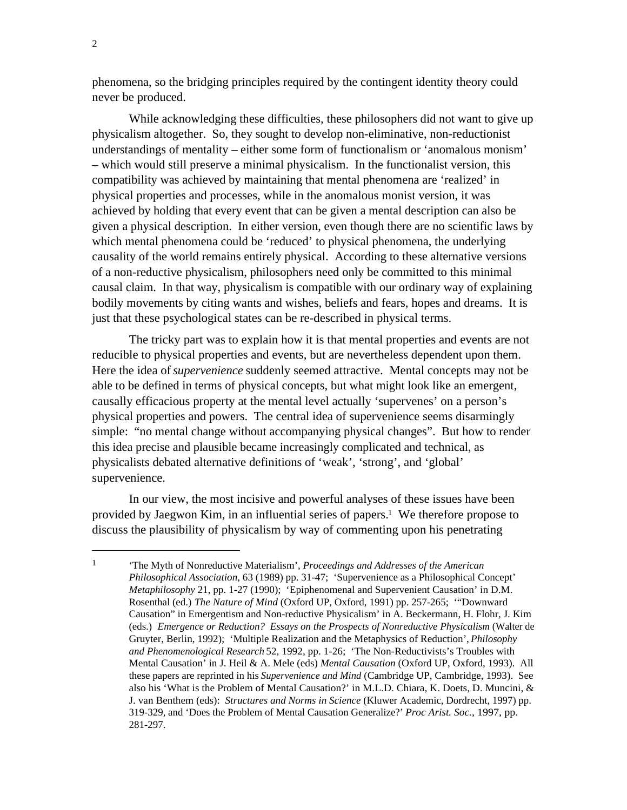phenomena, so the bridging principles required by the contingent identity theory could never be produced.

While acknowledging these difficulties, these philosophers did not want to give up physicalism altogether. So, they sought to develop non-eliminative, non-reductionist understandings of mentality – either some form of functionalism or 'anomalous monism' – which would still preserve a minimal physicalism. In the functionalist version, this compatibility was achieved by maintaining that mental phenomena are 'realized' in physical properties and processes, while in the anomalous monist version, it was achieved by holding that every event that can be given a mental description can also be given a physical description. In either version, even though there are no scientific laws by which mental phenomena could be 'reduced' to physical phenomena, the underlying causality of the world remains entirely physical. According to these alternative versions of a non-reductive physicalism, philosophers need only be committed to this minimal causal claim. In that way, physicalism is compatible with our ordinary way of explaining bodily movements by citing wants and wishes, beliefs and fears, hopes and dreams. It is just that these psychological states can be re-described in physical terms.

The tricky part was to explain how it is that mental properties and events are not reducible to physical properties and events, but are nevertheless dependent upon them. Here the idea of *supervenience* suddenly seemed attractive. Mental concepts may not be able to be defined in terms of physical concepts, but what might look like an emergent, causally efficacious property at the mental level actually 'supervenes' on a person's physical properties and powers. The central idea of supervenience seems disarmingly simple: "no mental change without accompanying physical changes". But how to render this idea precise and plausible became increasingly complicated and technical, as physicalists debated alternative definitions of 'weak', 'strong', and 'global' supervenience.

In our view, the most incisive and powerful analyses of these issues have been provided by Jaegwon Kim, in an influential series of papers.1 We therefore propose to discuss the plausibility of physicalism by way of commenting upon his penetrating

<sup>1</sup> 'The Myth of Nonreductive Materialism', *Proceedings and Addresses of the American Philosophical Association*, 63 (1989) pp. 31-47; 'Supervenience as a Philosophical Concept' *Metaphilosophy* 21, pp. 1-27 (1990); 'Epiphenomenal and Supervenient Causation' in D.M. Rosenthal (ed.) *The Nature of Mind* (Oxford UP, Oxford, 1991) pp. 257-265; '"Downward Causation" in Emergentism and Non-reductive Physicalism' in A. Beckermann, H. Flohr, J. Kim (eds.) *Emergence or Reduction? Essays on the Prospects of Nonreductive Physicalism* (Walter de Gruyter, Berlin, 1992); 'Multiple Realization and the Metaphysics of Reduction', *Philosophy and Phenomenological Research* 52, 1992, pp. 1-26; 'The Non-Reductivists's Troubles with Mental Causation' in J. Heil & A. Mele (eds) *Mental Causation* (Oxford UP, Oxford, 1993). All these papers are reprinted in his *Supervenience and Mind* (Cambridge UP, Cambridge, 1993). See also his 'What is the Problem of Mental Causation?' in M.L.D. Chiara, K. Doets, D. Muncini, & J. van Benthem (eds): *Structures and Norms in Science* (Kluwer Academic, Dordrecht, 1997) pp. 319-329, and 'Does the Problem of Mental Causation Generalize?' *Proc Arist. Soc.*, 1997, pp. 281-297.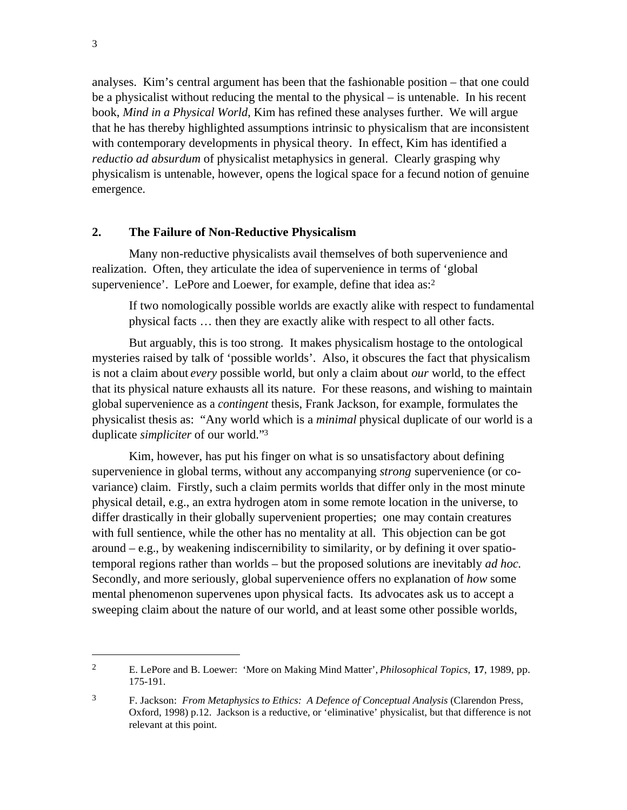analyses. Kim's central argument has been that the fashionable position – that one could be a physicalist without reducing the mental to the physical – is untenable. In his recent book, *Mind in a Physical World*, Kim has refined these analyses further. We will argue that he has thereby highlighted assumptions intrinsic to physicalism that are inconsistent with contemporary developments in physical theory. In effect, Kim has identified a *reductio ad absurdum* of physicalist metaphysics in general. Clearly grasping why physicalism is untenable, however, opens the logical space for a fecund notion of genuine emergence.

### **2. The Failure of Non-Reductive Physicalism**

Many non-reductive physicalists avail themselves of both supervenience and realization. Often, they articulate the idea of supervenience in terms of 'global supervenience'. LePore and Loewer, for example, define that idea as:<sup>2</sup>

If two nomologically possible worlds are exactly alike with respect to fundamental physical facts … then they are exactly alike with respect to all other facts.

But arguably, this is too strong. It makes physicalism hostage to the ontological mysteries raised by talk of 'possible worlds'. Also, it obscures the fact that physicalism is not a claim about *every* possible world, but only a claim about *our* world, to the effect that its physical nature exhausts all its nature. For these reasons, and wishing to maintain global supervenience as a *contingent* thesis, Frank Jackson, for example, formulates the physicalist thesis as: "Any world which is a *minimal* physical duplicate of our world is a duplicate *simpliciter* of our world."<sup>3</sup>

Kim, however, has put his finger on what is so unsatisfactory about defining supervenience in global terms, without any accompanying *strong* supervenience (or covariance) claim. Firstly, such a claim permits worlds that differ only in the most minute physical detail, e.g., an extra hydrogen atom in some remote location in the universe, to differ drastically in their globally supervenient properties; one may contain creatures with full sentience, while the other has no mentality at all. This objection can be got around – e.g., by weakening indiscernibility to similarity, or by defining it over spatiotemporal regions rather than worlds – but the proposed solutions are inevitably *ad hoc*. Secondly, and more seriously, global supervenience offers no explanation of *how* some mental phenomenon supervenes upon physical facts. Its advocates ask us to accept a sweeping claim about the nature of our world, and at least some other possible worlds,

<sup>2</sup> E. LePore and B. Loewer: 'More on Making Mind Matter', *Philosophical Topics*, **17**, 1989, pp. 175-191.

<sup>3</sup> F. Jackson: *From Metaphysics to Ethics: A Defence of Conceptual Analysis* (Clarendon Press, Oxford, 1998) p.12. Jackson is a reductive, or 'eliminative' physicalist, but that difference is not relevant at this point.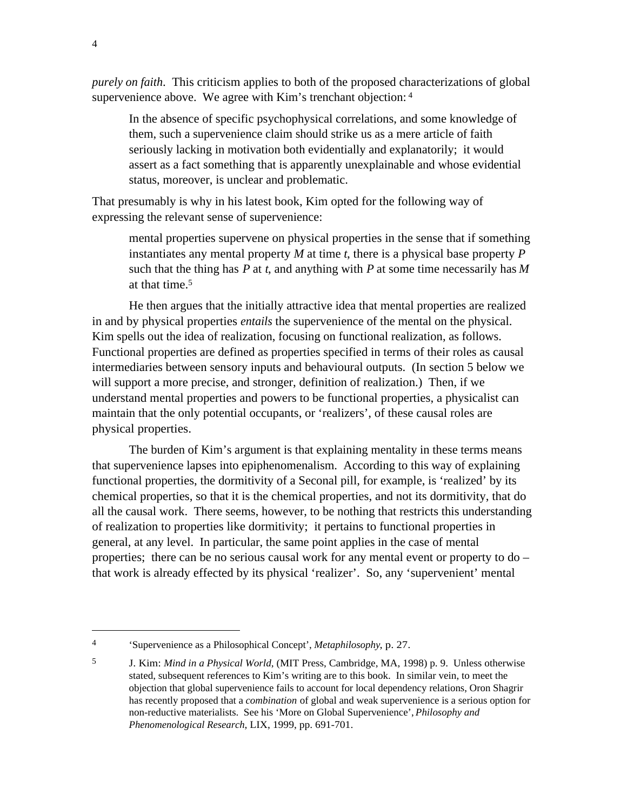*purely on faith*. This criticism applies to both of the proposed characterizations of global supervenience above. We agree with Kim's trenchant objection: 4

In the absence of specific psychophysical correlations, and some knowledge of them, such a supervenience claim should strike us as a mere article of faith seriously lacking in motivation both evidentially and explanatorily; it would assert as a fact something that is apparently unexplainable and whose evidential status, moreover, is unclear and problematic.

That presumably is why in his latest book, Kim opted for the following way of expressing the relevant sense of supervenience:

mental properties supervene on physical properties in the sense that if something instantiates any mental property *M* at time *t*, there is a physical base property *P* such that the thing has *P* at *t*, and anything with *P* at some time necessarily has *M* at that time.<sup>5</sup>

He then argues that the initially attractive idea that mental properties are realized in and by physical properties *entails* the supervenience of the mental on the physical. Kim spells out the idea of realization, focusing on functional realization, as follows. Functional properties are defined as properties specified in terms of their roles as causal intermediaries between sensory inputs and behavioural outputs. (In section 5 below we will support a more precise, and stronger, definition of realization.) Then, if we understand mental properties and powers to be functional properties, a physicalist can maintain that the only potential occupants, or 'realizers', of these causal roles are physical properties.

The burden of Kim's argument is that explaining mentality in these terms means that supervenience lapses into epiphenomenalism. According to this way of explaining functional properties, the dormitivity of a Seconal pill, for example, is 'realized' by its chemical properties, so that it is the chemical properties, and not its dormitivity, that do all the causal work. There seems, however, to be nothing that restricts this understanding of realization to properties like dormitivity; it pertains to functional properties in general, at any level. In particular, the same point applies in the case of mental properties; there can be no serious causal work for any mental event or property to do – that work is already effected by its physical 'realizer'. So, any 'supervenient' mental

<sup>4</sup> 'Supervenience as a Philosophical Concept', *Metaphilosophy*, p. 27.

<sup>5</sup> J. Kim: *Mind in a Physical World*, (MIT Press, Cambridge, MA, 1998) p. 9. Unless otherwise stated, subsequent references to Kim's writing are to this book. In similar vein, to meet the objection that global supervenience fails to account for local dependency relations, Oron Shagrir has recently proposed that a *combination* of global and weak supervenience is a serious option for non-reductive materialists. See his 'More on Global Supervenience', *Philosophy and Phenomenological Research*, LIX, 1999, pp. 691-701.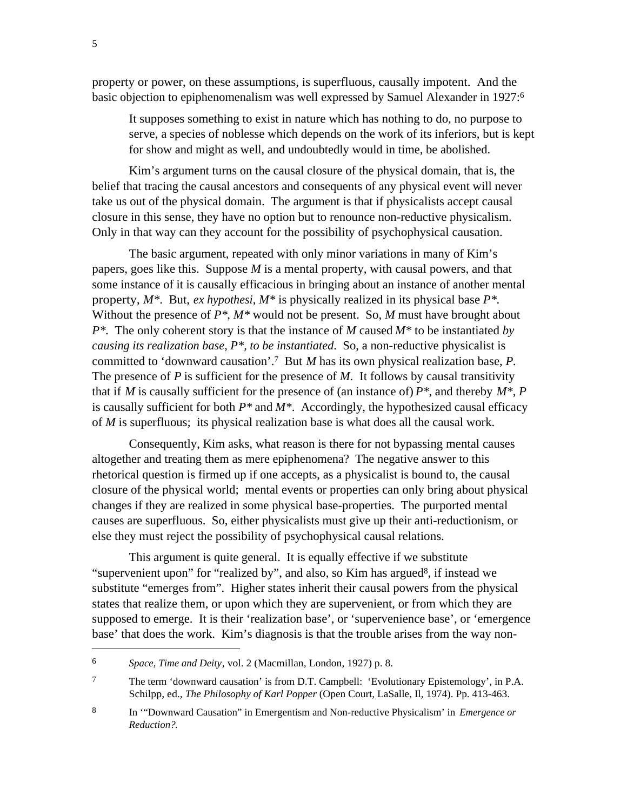property or power, on these assumptions, is superfluous, causally impotent. And the basic objection to epiphenomenalism was well expressed by Samuel Alexander in 1927:<sup>6</sup>

It supposes something to exist in nature which has nothing to do, no purpose to serve, a species of noblesse which depends on the work of its inferiors, but is kept for show and might as well, and undoubtedly would in time, be abolished.

Kim's argument turns on the causal closure of the physical domain, that is, the belief that tracing the causal ancestors and consequents of any physical event will never take us out of the physical domain. The argument is that if physicalists accept causal closure in this sense, they have no option but to renounce non-reductive physicalism. Only in that way can they account for the possibility of psychophysical causation.

The basic argument, repeated with only minor variations in many of Kim's papers, goes like this. Suppose *M* is a mental property, with causal powers, and that some instance of it is causally efficacious in bringing about an instance of another mental property, *M\**. But, *ex hypothesi*, *M\** is physically realized in its physical base *P\**. Without the presence of *P\**, *M\** would not be present. So, *M* must have brought about *P\**. The only coherent story is that the instance of *M* caused *M\** to be instantiated *by causing its realization base, P\*, to be instantiated*. So, a non-reductive physicalist is committed to 'downward causation'.7 But *M* has its own physical realization base, *P*. The presence of *P* is sufficient for the presence of *M*. It follows by causal transitivity that if *M* is causally sufficient for the presence of (an instance of)  $P^*$ , and thereby  $M^*$ ,  $P$ is causally sufficient for both *P\** and *M\**. Accordingly, the hypothesized causal efficacy of *M* is superfluous; its physical realization base is what does all the causal work.

Consequently, Kim asks, what reason is there for not bypassing mental causes altogether and treating them as mere epiphenomena? The negative answer to this rhetorical question is firmed up if one accepts, as a physicalist is bound to, the causal closure of the physical world; mental events or properties can only bring about physical changes if they are realized in some physical base-properties. The purported mental causes are superfluous. So, either physicalists must give up their anti-reductionism, or else they must reject the possibility of psychophysical causal relations.

This argument is quite general. It is equally effective if we substitute "supervenient upon" for "realized by", and also, so Kim has argued<sup>8</sup>, if instead we substitute "emerges from". Higher states inherit their causal powers from the physical states that realize them, or upon which they are supervenient, or from which they are supposed to emerge. It is their 'realization base', or 'supervenience base', or 'emergence base' that does the work. Kim's diagnosis is that the trouble arises from the way non-

<sup>6</sup> *Space, Time and Deity*, vol. 2 (Macmillan, London, 1927) p. 8.

<sup>&</sup>lt;sup>7</sup> The term 'downward causation' is from D.T. Campbell: 'Evolutionary Epistemology', in P.A. Schilpp, ed., *The Philosophy of Karl Popper* (Open Court, LaSalle, Il, 1974). Pp. 413-463.

<sup>8</sup> In '"Downward Causation" in Emergentism and Non-reductive Physicalism' in *Emergence or Reduction?*.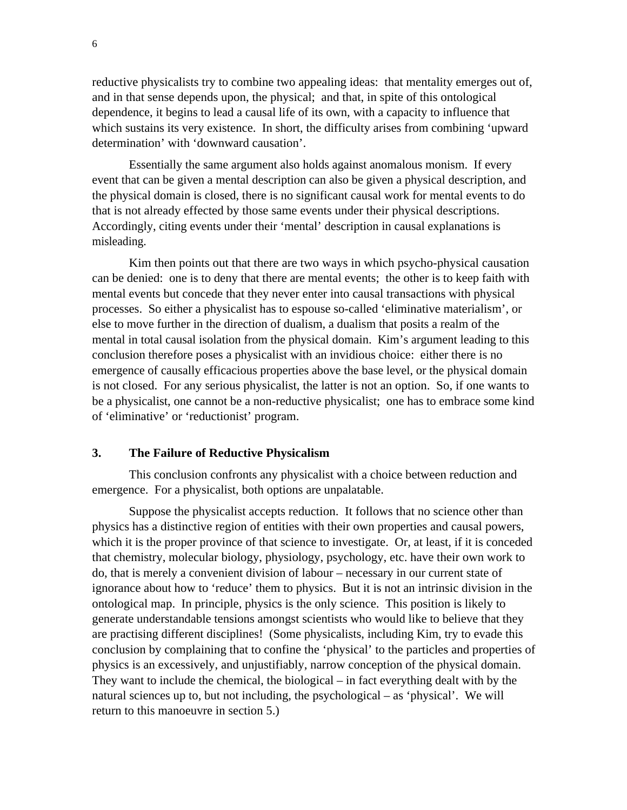reductive physicalists try to combine two appealing ideas: that mentality emerges out of, and in that sense depends upon, the physical; and that, in spite of this ontological dependence, it begins to lead a causal life of its own, with a capacity to influence that which sustains its very existence. In short, the difficulty arises from combining 'upward determination' with 'downward causation'.

Essentially the same argument also holds against anomalous monism. If every event that can be given a mental description can also be given a physical description, and the physical domain is closed, there is no significant causal work for mental events to do that is not already effected by those same events under their physical descriptions. Accordingly, citing events under their 'mental' description in causal explanations is misleading.

Kim then points out that there are two ways in which psycho-physical causation can be denied: one is to deny that there are mental events; the other is to keep faith with mental events but concede that they never enter into causal transactions with physical processes. So either a physicalist has to espouse so-called 'eliminative materialism', or else to move further in the direction of dualism, a dualism that posits a realm of the mental in total causal isolation from the physical domain. Kim's argument leading to this conclusion therefore poses a physicalist with an invidious choice: either there is no emergence of causally efficacious properties above the base level, or the physical domain is not closed. For any serious physicalist, the latter is not an option. So, if one wants to be a physicalist, one cannot be a non-reductive physicalist; one has to embrace some kind of 'eliminative' or 'reductionist' program.

## **3. The Failure of Reductive Physicalism**

This conclusion confronts any physicalist with a choice between reduction and emergence. For a physicalist, both options are unpalatable.

Suppose the physicalist accepts reduction. It follows that no science other than physics has a distinctive region of entities with their own properties and causal powers, which it is the proper province of that science to investigate. Or, at least, if it is conceded that chemistry, molecular biology, physiology, psychology, etc. have their own work to do, that is merely a convenient division of labour – necessary in our current state of ignorance about how to 'reduce' them to physics. But it is not an intrinsic division in the ontological map. In principle, physics is the only science. This position is likely to generate understandable tensions amongst scientists who would like to believe that they are practising different disciplines! (Some physicalists, including Kim, try to evade this conclusion by complaining that to confine the 'physical' to the particles and properties of physics is an excessively, and unjustifiably, narrow conception of the physical domain. They want to include the chemical, the biological – in fact everything dealt with by the natural sciences up to, but not including, the psychological – as 'physical'. We will return to this manoeuvre in section 5.)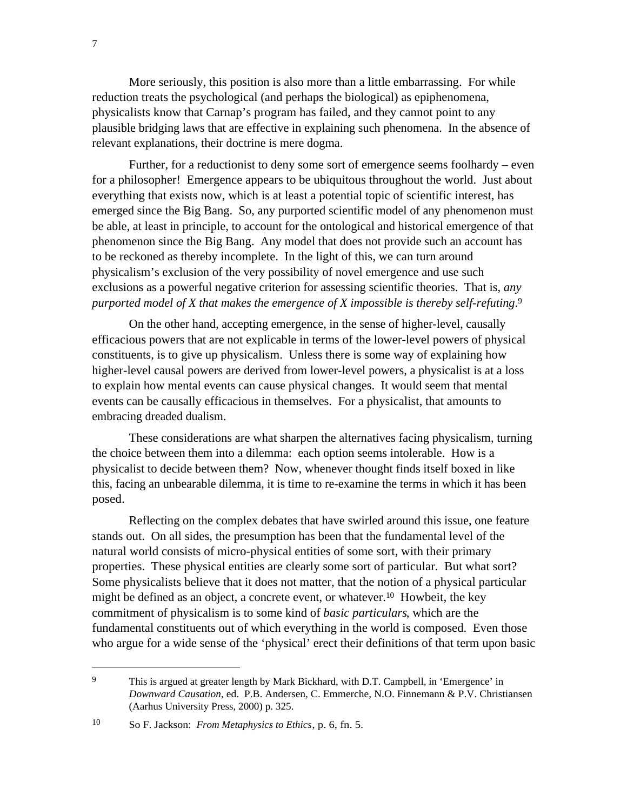More seriously, this position is also more than a little embarrassing. For while reduction treats the psychological (and perhaps the biological) as epiphenomena, physicalists know that Carnap's program has failed, and they cannot point to any plausible bridging laws that are effective in explaining such phenomena. In the absence of relevant explanations, their doctrine is mere dogma.

Further, for a reductionist to deny some sort of emergence seems foolhardy – even for a philosopher! Emergence appears to be ubiquitous throughout the world. Just about everything that exists now, which is at least a potential topic of scientific interest, has emerged since the Big Bang. So, any purported scientific model of any phenomenon must be able, at least in principle, to account for the ontological and historical emergence of that phenomenon since the Big Bang. Any model that does not provide such an account has to be reckoned as thereby incomplete. In the light of this, we can turn around physicalism's exclusion of the very possibility of novel emergence and use such exclusions as a powerful negative criterion for assessing scientific theories. That is, *any purported model of X that makes the emergence of X impossible is thereby self-refuting*. 9

On the other hand, accepting emergence, in the sense of higher-level, causally efficacious powers that are not explicable in terms of the lower-level powers of physical constituents, is to give up physicalism. Unless there is some way of explaining how higher-level causal powers are derived from lower-level powers, a physicalist is at a loss to explain how mental events can cause physical changes. It would seem that mental events can be causally efficacious in themselves. For a physicalist, that amounts to embracing dreaded dualism.

These considerations are what sharpen the alternatives facing physicalism, turning the choice between them into a dilemma: each option seems intolerable. How is a physicalist to decide between them? Now, whenever thought finds itself boxed in like this, facing an unbearable dilemma, it is time to re-examine the terms in which it has been posed.

Reflecting on the complex debates that have swirled around this issue, one feature stands out. On all sides, the presumption has been that the fundamental level of the natural world consists of micro-physical entities of some sort, with their primary properties. These physical entities are clearly some sort of particular. But what sort? Some physicalists believe that it does not matter, that the notion of a physical particular might be defined as an object, a concrete event, or whatever.<sup>10</sup> Howbeit, the key commitment of physicalism is to some kind of *basic particulars*, which are the fundamental constituents out of which everything in the world is composed. Even those who argue for a wide sense of the 'physical' erect their definitions of that term upon basic

<sup>9</sup> This is argued at greater length by Mark Bickhard, with D.T. Campbell, in 'Emergence' in *Downward Causation*, ed. P.B. Andersen, C. Emmerche, N.O. Finnemann & P.V. Christiansen (Aarhus University Press, 2000) p. 325.

<sup>10</sup> So F. Jackson: *From Metaphysics to Ethics*, p. 6, fn. 5.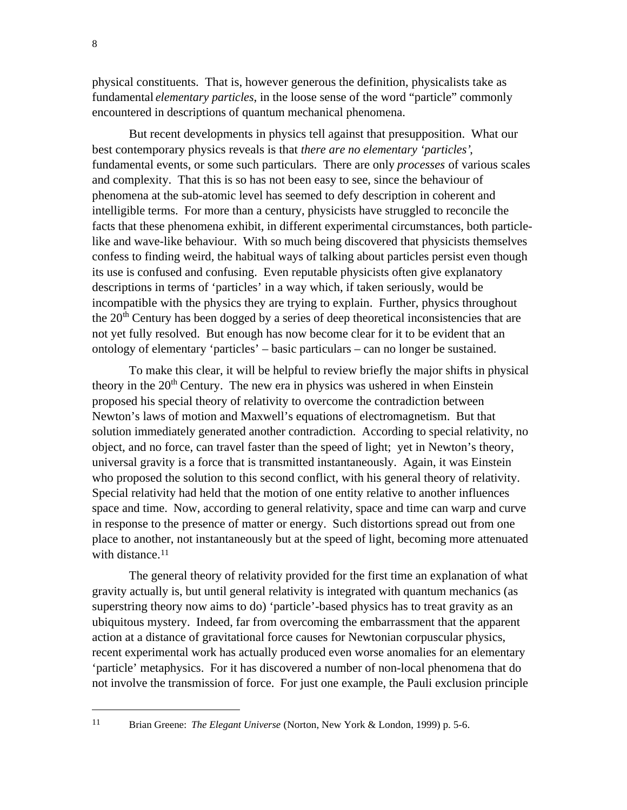physical constituents. That is, however generous the definition, physicalists take as fundamental *elementary particles*, in the loose sense of the word "particle" commonly encountered in descriptions of quantum mechanical phenomena.

But recent developments in physics tell against that presupposition. What our best contemporary physics reveals is that *there are no elementary 'particles'*, fundamental events, or some such particulars. There are only *processes* of various scales and complexity. That this is so has not been easy to see, since the behaviour of phenomena at the sub-atomic level has seemed to defy description in coherent and intelligible terms. For more than a century, physicists have struggled to reconcile the facts that these phenomena exhibit, in different experimental circumstances, both particlelike and wave-like behaviour. With so much being discovered that physicists themselves confess to finding weird, the habitual ways of talking about particles persist even though its use is confused and confusing. Even reputable physicists often give explanatory descriptions in terms of 'particles' in a way which, if taken seriously, would be incompatible with the physics they are trying to explain. Further, physics throughout the  $20<sup>th</sup>$  Century has been dogged by a series of deep theoretical inconsistencies that are not yet fully resolved. But enough has now become clear for it to be evident that an ontology of elementary 'particles' – basic particulars – can no longer be sustained.

To make this clear, it will be helpful to review briefly the major shifts in physical theory in the  $20<sup>th</sup>$  Century. The new era in physics was ushered in when Einstein proposed his special theory of relativity to overcome the contradiction between Newton's laws of motion and Maxwell's equations of electromagnetism. But that solution immediately generated another contradiction. According to special relativity, no object, and no force, can travel faster than the speed of light; yet in Newton's theory, universal gravity is a force that is transmitted instantaneously. Again, it was Einstein who proposed the solution to this second conflict, with his general theory of relativity. Special relativity had held that the motion of one entity relative to another influences space and time. Now, according to general relativity, space and time can warp and curve in response to the presence of matter or energy. Such distortions spread out from one place to another, not instantaneously but at the speed of light, becoming more attenuated with distance.<sup>11</sup>

The general theory of relativity provided for the first time an explanation of what gravity actually is, but until general relativity is integrated with quantum mechanics (as superstring theory now aims to do) 'particle'-based physics has to treat gravity as an ubiquitous mystery. Indeed, far from overcoming the embarrassment that the apparent action at a distance of gravitational force causes for Newtonian corpuscular physics, recent experimental work has actually produced even worse anomalies for an elementary 'particle' metaphysics. For it has discovered a number of non-local phenomena that do not involve the transmission of force. For just one example, the Pauli exclusion principle

<sup>11</sup> Brian Greene: *The Elegant Universe* (Norton, New York & London, 1999) p. 5-6.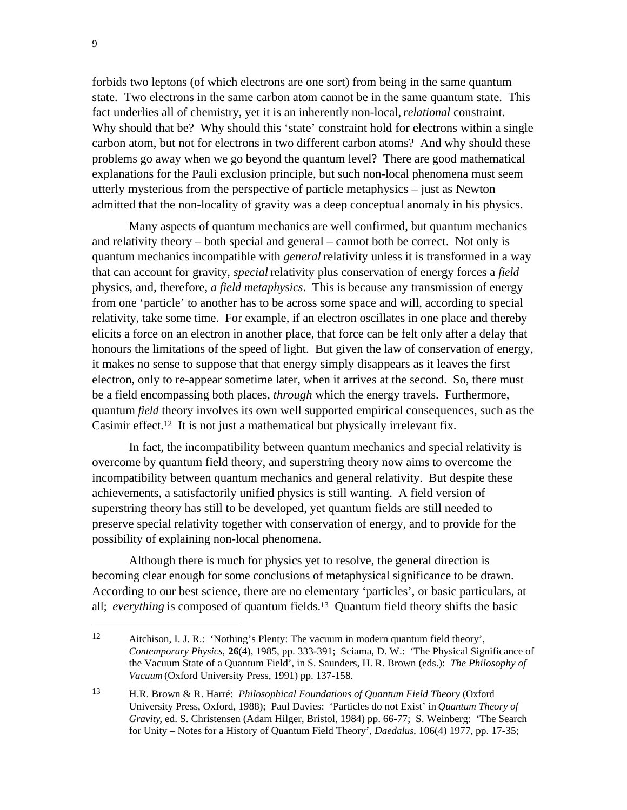forbids two leptons (of which electrons are one sort) from being in the same quantum state. Two electrons in the same carbon atom cannot be in the same quantum state. This fact underlies all of chemistry, yet it is an inherently non-local, *relational* constraint. Why should that be? Why should this 'state' constraint hold for electrons within a single carbon atom, but not for electrons in two different carbon atoms? And why should these problems go away when we go beyond the quantum level? There are good mathematical explanations for the Pauli exclusion principle, but such non-local phenomena must seem utterly mysterious from the perspective of particle metaphysics – just as Newton admitted that the non-locality of gravity was a deep conceptual anomaly in his physics.

Many aspects of quantum mechanics are well confirmed, but quantum mechanics and relativity theory – both special and general – cannot both be correct. Not only is quantum mechanics incompatible with *general* relativity unless it is transformed in a way that can account for gravity, *special* relativity plus conservation of energy forces a *field* physics, and, therefore, *a field metaphysics*. This is because any transmission of energy from one 'particle' to another has to be across some space and will, according to special relativity, take some time. For example, if an electron oscillates in one place and thereby elicits a force on an electron in another place, that force can be felt only after a delay that honours the limitations of the speed of light. But given the law of conservation of energy, it makes no sense to suppose that that energy simply disappears as it leaves the first electron, only to re-appear sometime later, when it arrives at the second. So, there must be a field encompassing both places, *through* which the energy travels. Furthermore, quantum *field* theory involves its own well supported empirical consequences, such as the Casimir effect.<sup>12</sup> It is not just a mathematical but physically irrelevant fix.

In fact, the incompatibility between quantum mechanics and special relativity is overcome by quantum field theory, and superstring theory now aims to overcome the incompatibility between quantum mechanics and general relativity. But despite these achievements, a satisfactorily unified physics is still wanting. A field version of superstring theory has still to be developed, yet quantum fields are still needed to preserve special relativity together with conservation of energy, and to provide for the possibility of explaining non-local phenomena.

Although there is much for physics yet to resolve, the general direction is becoming clear enough for some conclusions of metaphysical significance to be drawn. According to our best science, there are no elementary 'particles', or basic particulars, at all; *everything* is composed of quantum fields.13 Quantum field theory shifts the basic

<sup>12</sup> Aitchison, I. J. R.: 'Nothing's Plenty: The vacuum in modern quantum field theory', *Contemporary Physics,* **26**(4), 1985, pp. 333-391; Sciama, D. W.: 'The Physical Significance of the Vacuum State of a Quantum Field', in S. Saunders, H. R. Brown (eds.): *The Philosophy of Vacuum* (Oxford University Press, 1991) pp. 137-158.

<sup>13</sup> H.R. Brown & R. Harré: *Philosophical Foundations of Quantum Field Theory* (Oxford University Press, Oxford, 1988); Paul Davies: 'Particles do not Exist' in *Quantum Theory of Gravity*, ed. S. Christensen (Adam Hilger, Bristol, 1984) pp. 66-77; S. Weinberg: 'The Search for Unity – Notes for a History of Quantum Field Theory', *Daedalus*, 106(4) 1977, pp. 17-35;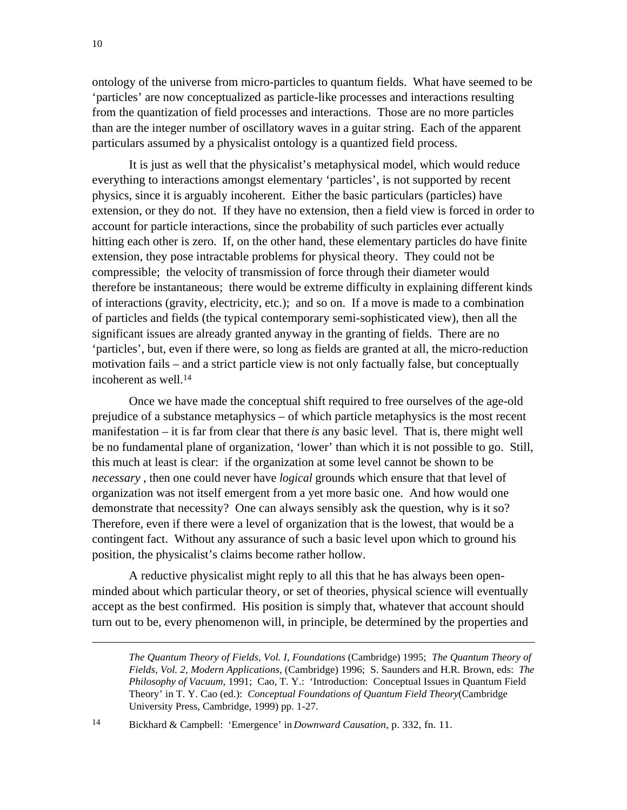ontology of the universe from micro-particles to quantum fields. What have seemed to be 'particles' are now conceptualized as particle-like processes and interactions resulting from the quantization of field processes and interactions. Those are no more particles than are the integer number of oscillatory waves in a guitar string. Each of the apparent particulars assumed by a physicalist ontology is a quantized field process.

It is just as well that the physicalist's metaphysical model, which would reduce everything to interactions amongst elementary 'particles', is not supported by recent physics, since it is arguably incoherent. Either the basic particulars (particles) have extension, or they do not. If they have no extension, then a field view is forced in order to account for particle interactions, since the probability of such particles ever actually hitting each other is zero. If, on the other hand, these elementary particles do have finite extension, they pose intractable problems for physical theory. They could not be compressible; the velocity of transmission of force through their diameter would therefore be instantaneous; there would be extreme difficulty in explaining different kinds of interactions (gravity, electricity, etc.); and so on. If a move is made to a combination of particles and fields (the typical contemporary semi-sophisticated view), then all the significant issues are already granted anyway in the granting of fields. There are no 'particles', but, even if there were, so long as fields are granted at all, the micro-reduction motivation fails – and a strict particle view is not only factually false, but conceptually incoherent as well.<sup>14</sup>

Once we have made the conceptual shift required to free ourselves of the age-old prejudice of a substance metaphysics – of which particle metaphysics is the most recent manifestation – it is far from clear that there *is* any basic level. That is, there might well be no fundamental plane of organization, 'lower' than which it is not possible to go. Still, this much at least is clear: if the organization at some level cannot be shown to be *necessary* , then one could never have *logical* grounds which ensure that that level of organization was not itself emergent from a yet more basic one. And how would one demonstrate that necessity? One can always sensibly ask the question, why is it so? Therefore, even if there were a level of organization that is the lowest, that would be a contingent fact. Without any assurance of such a basic level upon which to ground his position, the physicalist's claims become rather hollow.

A reductive physicalist might reply to all this that he has always been openminded about which particular theory, or set of theories, physical science will eventually accept as the best confirmed. His position is simply that, whatever that account should turn out to be, every phenomenon will, in principle, be determined by the properties and

<sup>14</sup> Bickhard & Campbell: 'Emergence' in *Downward Causation*, p. 332, fn. 11.

*The Quantum Theory of Fields, Vol. I, Foundations* (Cambridge) 1995; *The Quantum Theory of Fields, Vol. 2, Modern Applications*, (Cambridge) 1996; S. Saunders and H.R. Brown, eds: *The Philosophy of Vacuum,* 1991; Cao, T. Y.: 'Introduction: Conceptual Issues in Quantum Field Theory' in T. Y. Cao (ed.): *Conceptual Foundations of Quantum Field Theory*(Cambridge University Press, Cambridge, 1999) pp. 1-27.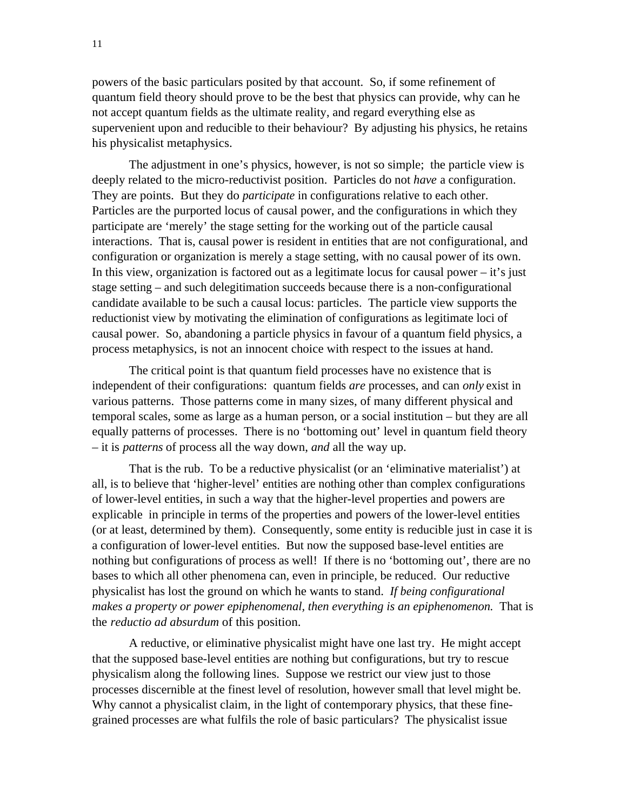powers of the basic particulars posited by that account. So, if some refinement of quantum field theory should prove to be the best that physics can provide, why can he not accept quantum fields as the ultimate reality, and regard everything else as supervenient upon and reducible to their behaviour? By adjusting his physics, he retains his physicalist metaphysics.

The adjustment in one's physics, however, is not so simple; the particle view is deeply related to the micro-reductivist position. Particles do not *have* a configuration. They are points. But they do *participate* in configurations relative to each other. Particles are the purported locus of causal power, and the configurations in which they participate are 'merely' the stage setting for the working out of the particle causal interactions. That is, causal power is resident in entities that are not configurational, and configuration or organization is merely a stage setting, with no causal power of its own. In this view, organization is factored out as a legitimate locus for causal power  $-$  it's just stage setting – and such delegitimation succeeds because there is a non-configurational candidate available to be such a causal locus: particles. The particle view supports the reductionist view by motivating the elimination of configurations as legitimate loci of causal power. So, abandoning a particle physics in favour of a quantum field physics, a process metaphysics, is not an innocent choice with respect to the issues at hand.

The critical point is that quantum field processes have no existence that is independent of their configurations: quantum fields *are* processes, and can *only* exist in various patterns. Those patterns come in many sizes, of many different physical and temporal scales, some as large as a human person, or a social institution – but they are all equally patterns of processes. There is no 'bottoming out' level in quantum field theory – it is *patterns* of process all the way down, *and* all the way up.

That is the rub. To be a reductive physicalist (or an 'eliminative materialist') at all, is to believe that 'higher-level' entities are nothing other than complex configurations of lower-level entities, in such a way that the higher-level properties and powers are explicable in principle in terms of the properties and powers of the lower-level entities (or at least, determined by them). Consequently, some entity is reducible just in case it is a configuration of lower-level entities. But now the supposed base-level entities are nothing but configurations of process as well! If there is no 'bottoming out', there are no bases to which all other phenomena can, even in principle, be reduced. Our reductive physicalist has lost the ground on which he wants to stand. *If being configurational makes a property or power epiphenomenal, then everything is an epiphenomenon.* That is the *reductio ad absurdum* of this position.

A reductive, or eliminative physicalist might have one last try. He might accept that the supposed base-level entities are nothing but configurations, but try to rescue physicalism along the following lines. Suppose we restrict our view just to those processes discernible at the finest level of resolution, however small that level might be. Why cannot a physicalist claim, in the light of contemporary physics, that these finegrained processes are what fulfils the role of basic particulars? The physicalist issue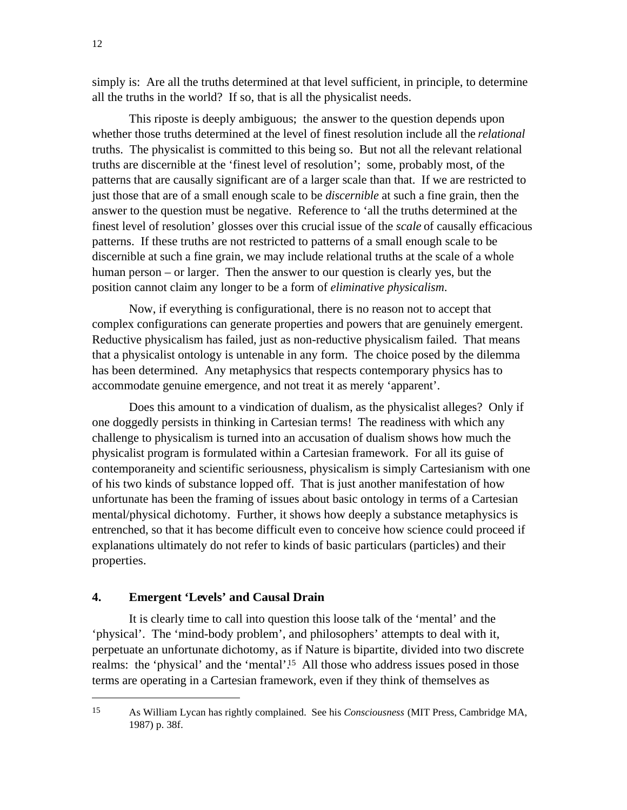simply is: Are all the truths determined at that level sufficient, in principle, to determine all the truths in the world? If so, that is all the physicalist needs.

This riposte is deeply ambiguous; the answer to the question depends upon whether those truths determined at the level of finest resolution include all the *relational* truths. The physicalist is committed to this being so. But not all the relevant relational truths are discernible at the 'finest level of resolution'; some, probably most, of the patterns that are causally significant are of a larger scale than that. If we are restricted to just those that are of a small enough scale to be *discernible* at such a fine grain, then the answer to the question must be negative. Reference to 'all the truths determined at the finest level of resolution' glosses over this crucial issue of the *scale* of causally efficacious patterns. If these truths are not restricted to patterns of a small enough scale to be discernible at such a fine grain, we may include relational truths at the scale of a whole human person – or larger. Then the answer to our question is clearly yes, but the position cannot claim any longer to be a form of *eliminative physicalism*.

Now, if everything is configurational, there is no reason not to accept that complex configurations can generate properties and powers that are genuinely emergent. Reductive physicalism has failed, just as non-reductive physicalism failed. That means that a physicalist ontology is untenable in any form. The choice posed by the dilemma has been determined. Any metaphysics that respects contemporary physics has to accommodate genuine emergence, and not treat it as merely 'apparent'.

Does this amount to a vindication of dualism, as the physicalist alleges? Only if one doggedly persists in thinking in Cartesian terms! The readiness with which any challenge to physicalism is turned into an accusation of dualism shows how much the physicalist program is formulated within a Cartesian framework. For all its guise of contemporaneity and scientific seriousness, physicalism is simply Cartesianism with one of his two kinds of substance lopped off. That is just another manifestation of how unfortunate has been the framing of issues about basic ontology in terms of a Cartesian mental/physical dichotomy. Further, it shows how deeply a substance metaphysics is entrenched, so that it has become difficult even to conceive how science could proceed if explanations ultimately do not refer to kinds of basic particulars (particles) and their properties.

# **4. Emergent 'Levels' and Causal Drain**

 $\overline{a}$ 

It is clearly time to call into question this loose talk of the 'mental' and the 'physical'. The 'mind-body problem', and philosophers' attempts to deal with it, perpetuate an unfortunate dichotomy, as if Nature is bipartite, divided into two discrete realms: the 'physical' and the 'mental'.15 All those who address issues posed in those terms are operating in a Cartesian framework, even if they think of themselves as

<sup>15</sup> As William Lycan has rightly complained. See his *Consciousness* (MIT Press, Cambridge MA, 1987) p. 38f.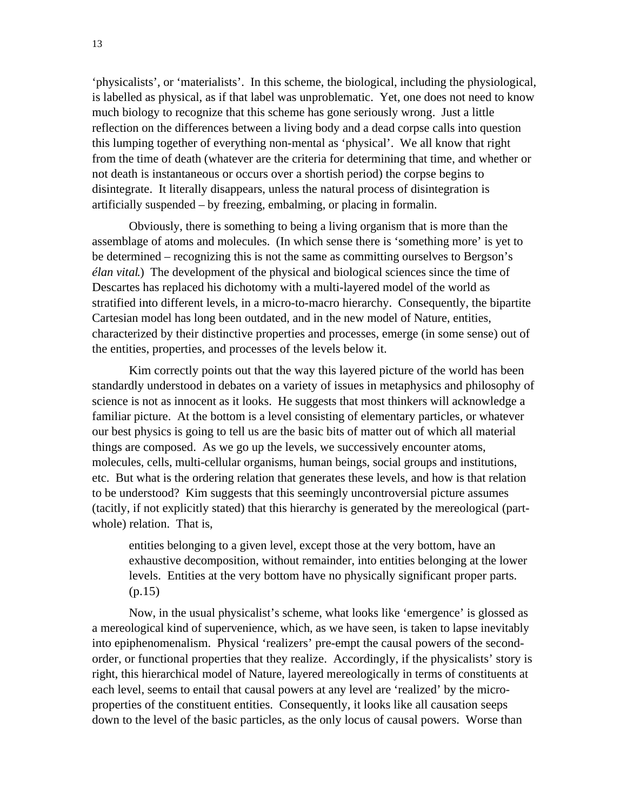'physicalists', or 'materialists'. In this scheme, the biological, including the physiological, is labelled as physical, as if that label was unproblematic. Yet, one does not need to know much biology to recognize that this scheme has gone seriously wrong. Just a little reflection on the differences between a living body and a dead corpse calls into question this lumping together of everything non-mental as 'physical'. We all know that right from the time of death (whatever are the criteria for determining that time, and whether or not death is instantaneous or occurs over a shortish period) the corpse begins to disintegrate. It literally disappears, unless the natural process of disintegration is artificially suspended – by freezing, embalming, or placing in formalin.

Obviously, there is something to being a living organism that is more than the assemblage of atoms and molecules. (In which sense there is 'something more' is yet to be determined – recognizing this is not the same as committing ourselves to Bergson's *élan vital*.) The development of the physical and biological sciences since the time of Descartes has replaced his dichotomy with a multi-layered model of the world as stratified into different levels, in a micro-to-macro hierarchy. Consequently, the bipartite Cartesian model has long been outdated, and in the new model of Nature, entities, characterized by their distinctive properties and processes, emerge (in some sense) out of the entities, properties, and processes of the levels below it.

Kim correctly points out that the way this layered picture of the world has been standardly understood in debates on a variety of issues in metaphysics and philosophy of science is not as innocent as it looks. He suggests that most thinkers will acknowledge a familiar picture. At the bottom is a level consisting of elementary particles, or whatever our best physics is going to tell us are the basic bits of matter out of which all material things are composed. As we go up the levels, we successively encounter atoms, molecules, cells, multi-cellular organisms, human beings, social groups and institutions, etc. But what is the ordering relation that generates these levels, and how is that relation to be understood? Kim suggests that this seemingly uncontroversial picture assumes (tacitly, if not explicitly stated) that this hierarchy is generated by the mereological (partwhole) relation. That is,

entities belonging to a given level, except those at the very bottom, have an exhaustive decomposition, without remainder, into entities belonging at the lower levels. Entities at the very bottom have no physically significant proper parts. (p.15)

Now, in the usual physicalist's scheme, what looks like 'emergence' is glossed as a mereological kind of supervenience, which, as we have seen, is taken to lapse inevitably into epiphenomenalism. Physical 'realizers' pre-empt the causal powers of the secondorder, or functional properties that they realize. Accordingly, if the physicalists' story is right, this hierarchical model of Nature, layered mereologically in terms of constituents at each level, seems to entail that causal powers at any level are 'realized' by the microproperties of the constituent entities. Consequently, it looks like all causation seeps down to the level of the basic particles, as the only locus of causal powers. Worse than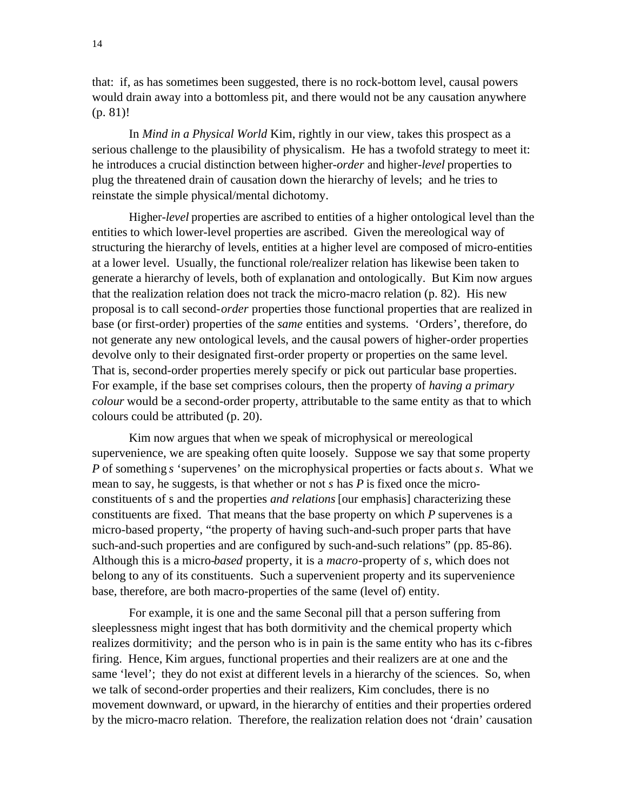that: if, as has sometimes been suggested, there is no rock-bottom level, causal powers would drain away into a bottomless pit, and there would not be any causation anywhere (p. 81)!

In *Mind in a Physical World* Kim, rightly in our view, takes this prospect as a serious challenge to the plausibility of physicalism. He has a twofold strategy to meet it: he introduces a crucial distinction between higher-*order* and higher-*level* properties to plug the threatened drain of causation down the hierarchy of levels; and he tries to reinstate the simple physical/mental dichotomy.

Higher-*level* properties are ascribed to entities of a higher ontological level than the entities to which lower-level properties are ascribed. Given the mereological way of structuring the hierarchy of levels, entities at a higher level are composed of micro-entities at a lower level. Usually, the functional role/realizer relation has likewise been taken to generate a hierarchy of levels, both of explanation and ontologically. But Kim now argues that the realization relation does not track the micro-macro relation (p. 82). His new proposal is to call second-*order* properties those functional properties that are realized in base (or first-order) properties of the *same* entities and systems. 'Orders', therefore, do not generate any new ontological levels, and the causal powers of higher-order properties devolve only to their designated first-order property or properties on the same level. That is, second-order properties merely specify or pick out particular base properties. For example, if the base set comprises colours, then the property of *having a primary colour* would be a second-order property, attributable to the same entity as that to which colours could be attributed (p. 20).

Kim now argues that when we speak of microphysical or mereological supervenience, we are speaking often quite loosely. Suppose we say that some property *P* of something *s* 'supervenes' on the microphysical properties or facts about *s*. What we mean to say, he suggests, is that whether or not *s* has *P* is fixed once the microconstituents of s and the properties *and relations* [our emphasis] characterizing these constituents are fixed. That means that the base property on which *P* supervenes is a micro-based property, "the property of having such-and-such proper parts that have such-and-such properties and are configured by such-and-such relations" (pp. 85-86). Although this is a micro-*based* property, it is a *macro*-property of *s*, which does not belong to any of its constituents. Such a supervenient property and its supervenience base, therefore, are both macro-properties of the same (level of) entity.

For example, it is one and the same Seconal pill that a person suffering from sleeplessness might ingest that has both dormitivity and the chemical property which realizes dormitivity; and the person who is in pain is the same entity who has its c-fibres firing. Hence, Kim argues, functional properties and their realizers are at one and the same 'level'; they do not exist at different levels in a hierarchy of the sciences. So, when we talk of second-order properties and their realizers, Kim concludes, there is no movement downward, or upward, in the hierarchy of entities and their properties ordered by the micro-macro relation. Therefore, the realization relation does not 'drain' causation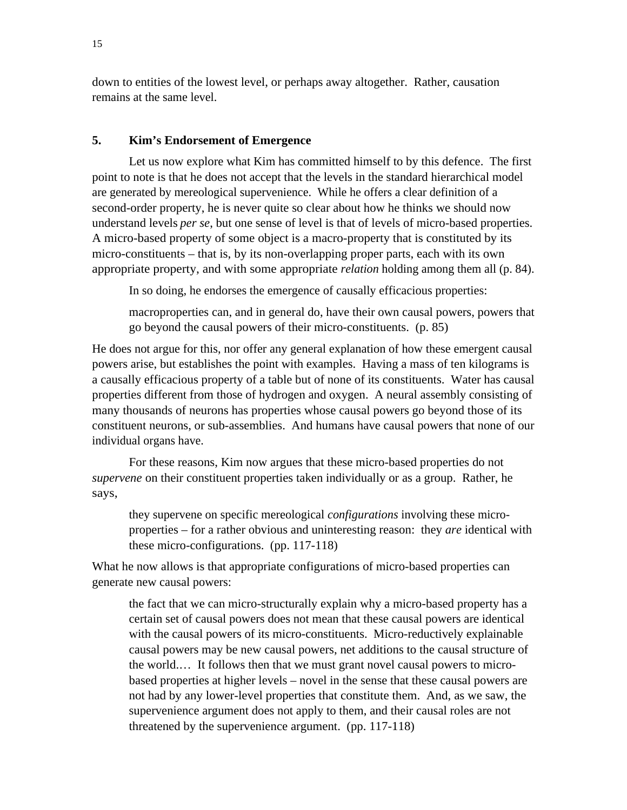down to entities of the lowest level, or perhaps away altogether. Rather, causation remains at the same level.

# **5. Kim's Endorsement of Emergence**

Let us now explore what Kim has committed himself to by this defence. The first point to note is that he does not accept that the levels in the standard hierarchical model are generated by mereological supervenience. While he offers a clear definition of a second-order property, he is never quite so clear about how he thinks we should now understand levels *per se*, but one sense of level is that of levels of micro-based properties. A micro-based property of some object is a macro-property that is constituted by its micro-constituents – that is, by its non-overlapping proper parts, each with its own appropriate property, and with some appropriate *relation* holding among them all (p. 84).

In so doing, he endorses the emergence of causally efficacious properties:

macroproperties can, and in general do, have their own causal powers, powers that go beyond the causal powers of their micro-constituents. (p. 85)

He does not argue for this, nor offer any general explanation of how these emergent causal powers arise, but establishes the point with examples. Having a mass of ten kilograms is a causally efficacious property of a table but of none of its constituents. Water has causal properties different from those of hydrogen and oxygen. A neural assembly consisting of many thousands of neurons has properties whose causal powers go beyond those of its constituent neurons, or sub-assemblies. And humans have causal powers that none of our individual organs have.

For these reasons, Kim now argues that these micro-based properties do not *supervene* on their constituent properties taken individually or as a group. Rather, he says,

they supervene on specific mereological *configurations* involving these microproperties – for a rather obvious and uninteresting reason: they *are* identical with these micro-configurations. (pp. 117-118)

What he now allows is that appropriate configurations of micro-based properties can generate new causal powers:

the fact that we can micro-structurally explain why a micro-based property has a certain set of causal powers does not mean that these causal powers are identical with the causal powers of its micro-constituents. Micro-reductively explainable causal powers may be new causal powers, net additions to the causal structure of the world.… It follows then that we must grant novel causal powers to microbased properties at higher levels – novel in the sense that these causal powers are not had by any lower-level properties that constitute them. And, as we saw, the supervenience argument does not apply to them, and their causal roles are not threatened by the supervenience argument. (pp. 117-118)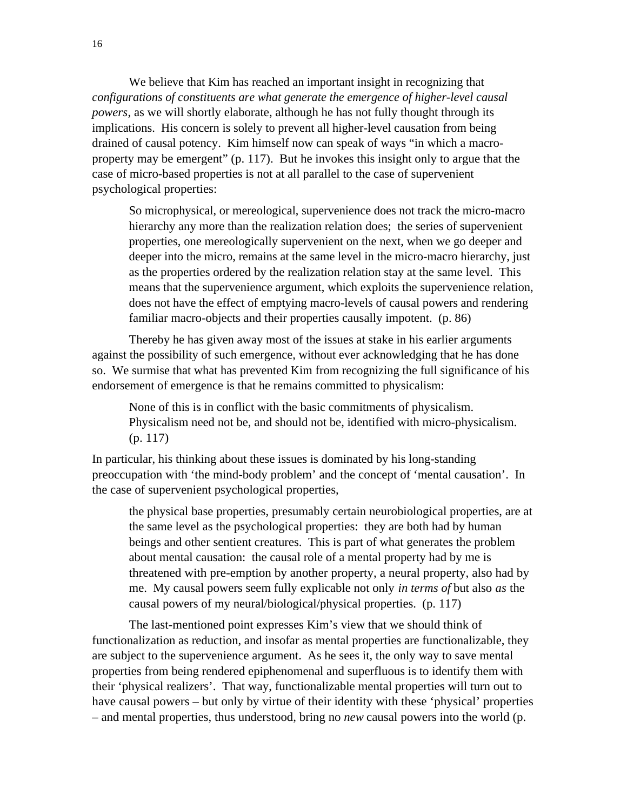We believe that Kim has reached an important insight in recognizing that *configurations of constituents are what generate the emergence of higher-level causal powers*, as we will shortly elaborate, although he has not fully thought through its implications. His concern is solely to prevent all higher-level causation from being drained of causal potency. Kim himself now can speak of ways "in which a macroproperty may be emergent" (p. 117). But he invokes this insight only to argue that the case of micro-based properties is not at all parallel to the case of supervenient psychological properties:

So microphysical, or mereological, supervenience does not track the micro-macro hierarchy any more than the realization relation does; the series of supervenient properties, one mereologically supervenient on the next, when we go deeper and deeper into the micro, remains at the same level in the micro-macro hierarchy, just as the properties ordered by the realization relation stay at the same level. This means that the supervenience argument, which exploits the supervenience relation, does not have the effect of emptying macro-levels of causal powers and rendering familiar macro-objects and their properties causally impotent. (p. 86)

Thereby he has given away most of the issues at stake in his earlier arguments against the possibility of such emergence, without ever acknowledging that he has done so. We surmise that what has prevented Kim from recognizing the full significance of his endorsement of emergence is that he remains committed to physicalism:

None of this is in conflict with the basic commitments of physicalism. Physicalism need not be, and should not be, identified with micro-physicalism. (p. 117)

In particular, his thinking about these issues is dominated by his long-standing preoccupation with 'the mind-body problem' and the concept of 'mental causation'. In the case of supervenient psychological properties,

the physical base properties, presumably certain neurobiological properties, are at the same level as the psychological properties: they are both had by human beings and other sentient creatures. This is part of what generates the problem about mental causation: the causal role of a mental property had by me is threatened with pre-emption by another property, a neural property, also had by me. My causal powers seem fully explicable not only *in terms of* but also *as* the causal powers of my neural/biological/physical properties. (p. 117)

The last-mentioned point expresses Kim's view that we should think of functionalization as reduction, and insofar as mental properties are functionalizable, they are subject to the supervenience argument. As he sees it, the only way to save mental properties from being rendered epiphenomenal and superfluous is to identify them with their 'physical realizers'. That way, functionalizable mental properties will turn out to have causal powers – but only by virtue of their identity with these 'physical' properties – and mental properties, thus understood, bring no *new* causal powers into the world (p.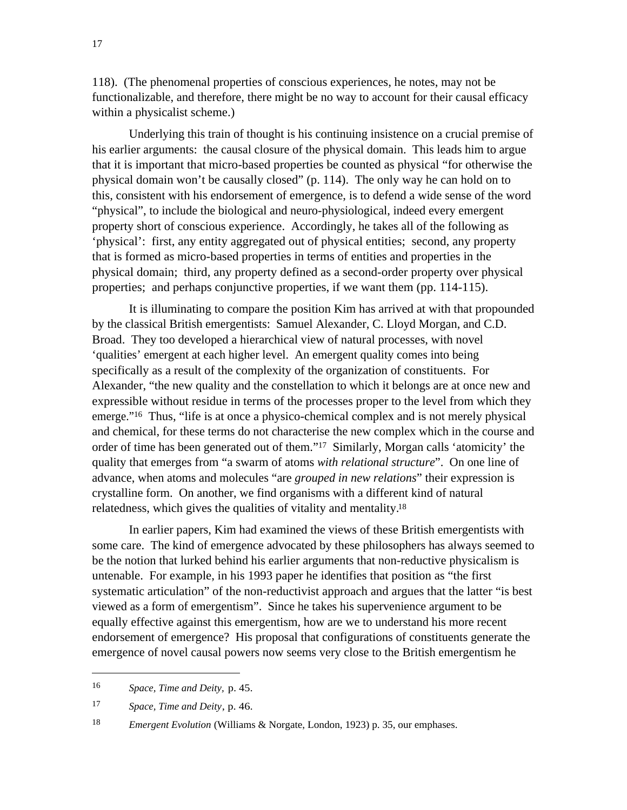118). (The phenomenal properties of conscious experiences, he notes, may not be functionalizable, and therefore, there might be no way to account for their causal efficacy within a physicalist scheme.)

Underlying this train of thought is his continuing insistence on a crucial premise of his earlier arguments: the causal closure of the physical domain. This leads him to argue that it is important that micro-based properties be counted as physical "for otherwise the physical domain won't be causally closed" (p. 114). The only way he can hold on to this, consistent with his endorsement of emergence, is to defend a wide sense of the word "physical", to include the biological and neuro-physiological, indeed every emergent property short of conscious experience. Accordingly, he takes all of the following as 'physical': first, any entity aggregated out of physical entities; second, any property that is formed as micro-based properties in terms of entities and properties in the physical domain; third, any property defined as a second-order property over physical properties; and perhaps conjunctive properties, if we want them (pp. 114-115).

It is illuminating to compare the position Kim has arrived at with that propounded by the classical British emergentists: Samuel Alexander, C. Lloyd Morgan, and C.D. Broad. They too developed a hierarchical view of natural processes, with novel 'qualities' emergent at each higher level. An emergent quality comes into being specifically as a result of the complexity of the organization of constituents. For Alexander, "the new quality and the constellation to which it belongs are at once new and expressible without residue in terms of the processes proper to the level from which they emerge."<sup>16</sup> Thus, "life is at once a physico-chemical complex and is not merely physical and chemical, for these terms do not characterise the new complex which in the course and order of time has been generated out of them."17 Similarly, Morgan calls 'atomicity' the quality that emerges from "a swarm of atoms *with relational structure*". On one line of advance, when atoms and molecules "are *grouped in new relations*" their expression is crystalline form. On another, we find organisms with a different kind of natural relatedness, which gives the qualities of vitality and mentality.<sup>18</sup>

In earlier papers, Kim had examined the views of these British emergentists with some care. The kind of emergence advocated by these philosophers has always seemed to be the notion that lurked behind his earlier arguments that non-reductive physicalism is untenable. For example, in his 1993 paper he identifies that position as "the first systematic articulation" of the non-reductivist approach and argues that the latter "is best viewed as a form of emergentism". Since he takes his supervenience argument to be equally effective against this emergentism, how are we to understand his more recent endorsement of emergence? His proposal that configurations of constituents generate the emergence of novel causal powers now seems very close to the British emergentism he

<sup>16</sup> *Space, Time and Deity,* p. 45.

<sup>17</sup> *Space, Time and Deity*, p. 46.

<sup>18</sup> *Emergent Evolution* (Williams & Norgate, London, 1923) p. 35, our emphases.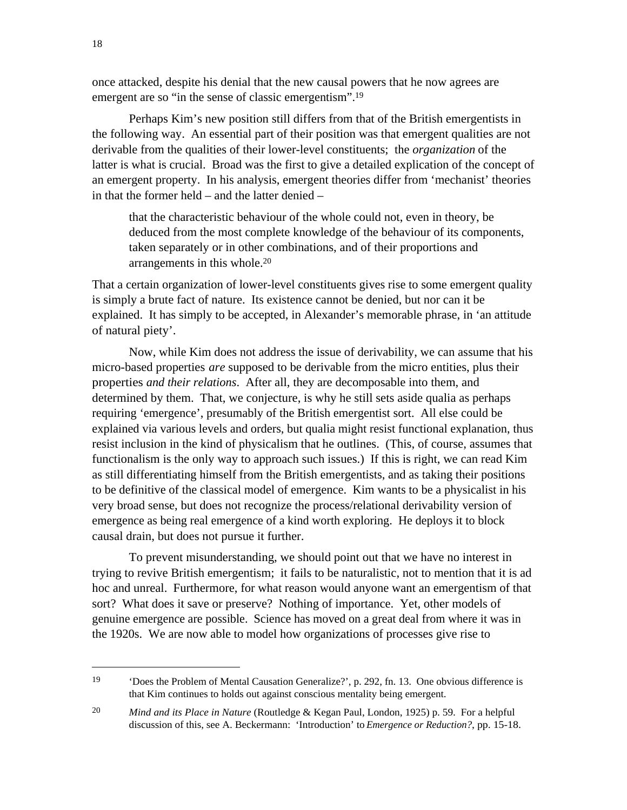once attacked, despite his denial that the new causal powers that he now agrees are emergent are so "in the sense of classic emergentism".<sup>19</sup>

Perhaps Kim's new position still differs from that of the British emergentists in the following way. An essential part of their position was that emergent qualities are not derivable from the qualities of their lower-level constituents; the *organization* of the latter is what is crucial. Broad was the first to give a detailed explication of the concept of an emergent property. In his analysis, emergent theories differ from 'mechanist' theories in that the former held – and the latter denied –

that the characteristic behaviour of the whole could not, even in theory, be deduced from the most complete knowledge of the behaviour of its components, taken separately or in other combinations, and of their proportions and arrangements in this whole.<sup>20</sup>

That a certain organization of lower-level constituents gives rise to some emergent quality is simply a brute fact of nature. Its existence cannot be denied, but nor can it be explained. It has simply to be accepted, in Alexander's memorable phrase, in 'an attitude of natural piety'.

Now, while Kim does not address the issue of derivability, we can assume that his micro-based properties *are* supposed to be derivable from the micro entities, plus their properties *and their relations*. After all, they are decomposable into them, and determined by them. That, we conjecture, is why he still sets aside qualia as perhaps requiring 'emergence', presumably of the British emergentist sort. All else could be explained via various levels and orders, but qualia might resist functional explanation, thus resist inclusion in the kind of physicalism that he outlines. (This, of course, assumes that functionalism is the only way to approach such issues.) If this is right, we can read Kim as still differentiating himself from the British emergentists, and as taking their positions to be definitive of the classical model of emergence. Kim wants to be a physicalist in his very broad sense, but does not recognize the process/relational derivability version of emergence as being real emergence of a kind worth exploring. He deploys it to block causal drain, but does not pursue it further.

To prevent misunderstanding, we should point out that we have no interest in trying to revive British emergentism; it fails to be naturalistic, not to mention that it is ad hoc and unreal. Furthermore, for what reason would anyone want an emergentism of that sort? What does it save or preserve? Nothing of importance. Yet, other models of genuine emergence are possible. Science has moved on a great deal from where it was in the 1920s. We are now able to model how organizations of processes give rise to

<sup>19</sup> 'Does the Problem of Mental Causation Generalize?', p. 292, fn. 13. One obvious difference is that Kim continues to holds out against conscious mentality being emergent.

<sup>20</sup> *Mind and its Place in Nature* (Routledge & Kegan Paul, London, 1925) p. 59. For a helpful discussion of this, see A. Beckermann: 'Introduction' to *Emergence or Reduction?*, pp. 15-18.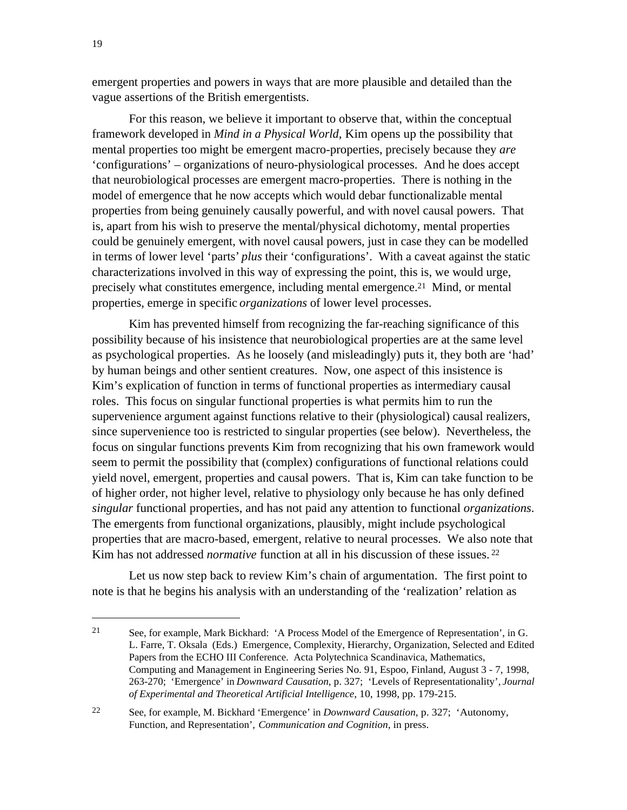emergent properties and powers in ways that are more plausible and detailed than the vague assertions of the British emergentists.

For this reason, we believe it important to observe that, within the conceptual framework developed in *Mind in a Physical World*, Kim opens up the possibility that mental properties too might be emergent macro-properties, precisely because they *are* 'configurations' – organizations of neuro-physiological processes. And he does accept that neurobiological processes are emergent macro-properties. There is nothing in the model of emergence that he now accepts which would debar functionalizable mental properties from being genuinely causally powerful, and with novel causal powers. That is, apart from his wish to preserve the mental/physical dichotomy, mental properties could be genuinely emergent, with novel causal powers, just in case they can be modelled in terms of lower level 'parts' *plus* their 'configurations'. With a caveat against the static characterizations involved in this way of expressing the point, this is, we would urge, precisely what constitutes emergence, including mental emergence.<sup>21</sup> Mind, or mental properties, emerge in specific *organizations* of lower level processes.

Kim has prevented himself from recognizing the far-reaching significance of this possibility because of his insistence that neurobiological properties are at the same level as psychological properties. As he loosely (and misleadingly) puts it, they both are 'had' by human beings and other sentient creatures. Now, one aspect of this insistence is Kim's explication of function in terms of functional properties as intermediary causal roles. This focus on singular functional properties is what permits him to run the supervenience argument against functions relative to their (physiological) causal realizers, since supervenience too is restricted to singular properties (see below). Nevertheless, the focus on singular functions prevents Kim from recognizing that his own framework would seem to permit the possibility that (complex) configurations of functional relations could yield novel, emergent, properties and causal powers. That is, Kim can take function to be of higher order, not higher level, relative to physiology only because he has only defined *singular* functional properties, and has not paid any attention to functional *organizations*. The emergents from functional organizations, plausibly, might include psychological properties that are macro-based, emergent, relative to neural processes. We also note that Kim has not addressed *normative* function at all in his discussion of these issues. <sup>22</sup>

Let us now step back to review Kim's chain of argumentation. The first point to note is that he begins his analysis with an understanding of the 'realization' relation as

<sup>21</sup> See, for example, Mark Bickhard: 'A Process Model of the Emergence of Representation', in G. L. Farre, T. Oksala (Eds.) Emergence, Complexity, Hierarchy, Organization, Selected and Edited Papers from the ECHO III Conference. Acta Polytechnica Scandinavica, Mathematics, Computing and Management in Engineering Series No. 91, Espoo, Finland, August 3 - 7, 1998, 263-270; 'Emergence' in *Downward Causation*, p. 327; 'Levels of Representationality', *Journal of Experimental and Theoretical Artificial Intelligence*, 10, 1998, pp. 179-215.

<sup>22</sup> See, for example, M. Bickhard 'Emergence' in *Downward Causation*, p. 327; 'Autonomy, Function, and Representation', *Communication and Cognition*, in press.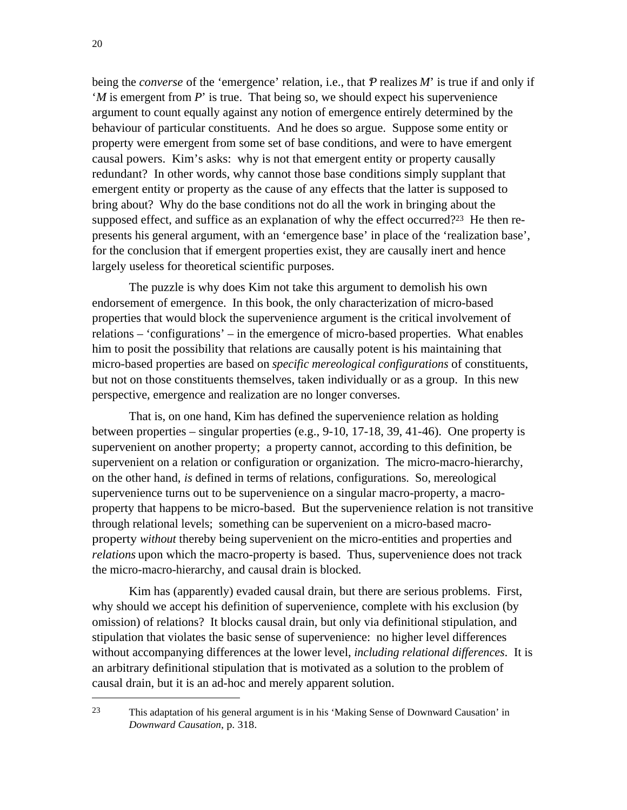being the *converse* of the 'emergence' relation, i.e., that '*P* realizes *M*' is true if and only if *'M* is emergent from *P*' is true. That being so, we should expect his supervenience argument to count equally against any notion of emergence entirely determined by the behaviour of particular constituents. And he does so argue. Suppose some entity or property were emergent from some set of base conditions, and were to have emergent causal powers. Kim's asks: why is not that emergent entity or property causally redundant? In other words, why cannot those base conditions simply supplant that emergent entity or property as the cause of any effects that the latter is supposed to bring about? Why do the base conditions not do all the work in bringing about the supposed effect, and suffice as an explanation of why the effect occurred?<sup>23</sup> He then represents his general argument, with an 'emergence base' in place of the 'realization base', for the conclusion that if emergent properties exist, they are causally inert and hence largely useless for theoretical scientific purposes.

The puzzle is why does Kim not take this argument to demolish his own endorsement of emergence. In this book, the only characterization of micro-based properties that would block the supervenience argument is the critical involvement of relations – 'configurations' – in the emergence of micro-based properties. What enables him to posit the possibility that relations are causally potent is his maintaining that micro-based properties are based on *specific mereological configurations* of constituents, but not on those constituents themselves, taken individually or as a group. In this new perspective, emergence and realization are no longer converses.

That is, on one hand, Kim has defined the supervenience relation as holding between properties – singular properties (e.g., 9-10, 17-18, 39, 41-46). One property is supervenient on another property; a property cannot, according to this definition, be supervenient on a relation or configuration or organization. The micro-macro-hierarchy, on the other hand, *is* defined in terms of relations, configurations. So, mereological supervenience turns out to be supervenience on a singular macro-property, a macroproperty that happens to be micro-based. But the supervenience relation is not transitive through relational levels; something can be supervenient on a micro-based macroproperty *without* thereby being supervenient on the micro-entities and properties and *relations* upon which the macro-property is based. Thus, supervenience does not track the micro-macro-hierarchy, and causal drain is blocked.

Kim has (apparently) evaded causal drain, but there are serious problems. First, why should we accept his definition of supervenience, complete with his exclusion (by omission) of relations? It blocks causal drain, but only via definitional stipulation, and stipulation that violates the basic sense of supervenience: no higher level differences without accompanying differences at the lower level, *including relational differences*. It is an arbitrary definitional stipulation that is motivated as a solution to the problem of causal drain, but it is an ad-hoc and merely apparent solution.

 $23$  This adaptation of his general argument is in his 'Making Sense of Downward Causation' in *Downward Causation*, p. 318.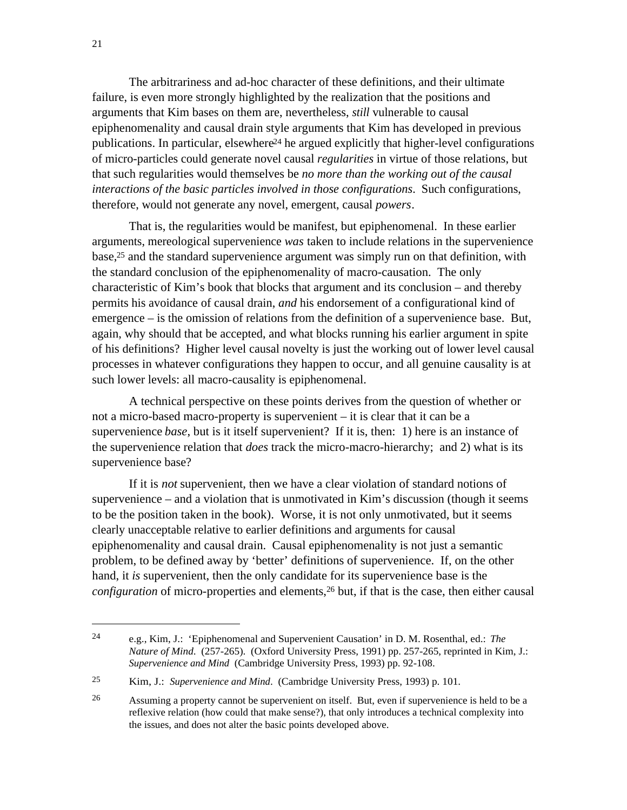The arbitrariness and ad-hoc character of these definitions, and their ultimate failure, is even more strongly highlighted by the realization that the positions and arguments that Kim bases on them are, nevertheless, *still* vulnerable to causal epiphenomenality and causal drain style arguments that Kim has developed in previous publications. In particular, elsewhere<sup>24</sup> he argued explicitly that higher-level configurations of micro-particles could generate novel causal *regularities* in virtue of those relations, but that such regularities would themselves be *no more than the working out of the causal interactions of the basic particles involved in those configurations*. Such configurations, therefore, would not generate any novel, emergent, causal *powers*.

That is, the regularities would be manifest, but epiphenomenal. In these earlier arguments, mereological supervenience *was* taken to include relations in the supervenience base,<sup>25</sup> and the standard supervenience argument was simply run on that definition, with the standard conclusion of the epiphenomenality of macro-causation. The only characteristic of Kim's book that blocks that argument and its conclusion – and thereby permits his avoidance of causal drain, *and* his endorsement of a configurational kind of emergence – is the omission of relations from the definition of a supervenience base. But, again, why should that be accepted, and what blocks running his earlier argument in spite of his definitions? Higher level causal novelty is just the working out of lower level causal processes in whatever configurations they happen to occur, and all genuine causality is at such lower levels: all macro-causality is epiphenomenal.

A technical perspective on these points derives from the question of whether or not a micro-based macro-property is supervenient – it is clear that it can be a supervenience *base*, but is it itself supervenient? If it is, then: 1) here is an instance of the supervenience relation that *does* track the micro-macro-hierarchy; and 2) what is its supervenience base?

If it is *not* supervenient, then we have a clear violation of standard notions of supervenience – and a violation that is unmotivated in Kim's discussion (though it seems to be the position taken in the book). Worse, it is not only unmotivated, but it seems clearly unacceptable relative to earlier definitions and arguments for causal epiphenomenality and causal drain. Causal epiphenomenality is not just a semantic problem, to be defined away by 'better' definitions of supervenience. If, on the other hand, it *is* supervenient, then the only candidate for its supervenience base is the *configuration* of micro-properties and elements,<sup>26</sup> but, if that is the case, then either causal

<sup>24</sup> e.g., Kim, J.: 'Epiphenomenal and Supervenient Causation' in D. M. Rosenthal, ed.: *The Nature of Mind*. (257-265). (Oxford University Press, 1991) pp. 257-265, reprinted in Kim, J.: *Supervenience and Mind* (Cambridge University Press, 1993) pp. 92-108.

<sup>25</sup> Kim, J.: *Supervenience and Mind*. (Cambridge University Press, 1993) p. 101.

 $^{26}$  Assuming a property cannot be supervenient on itself. But, even if supervenience is held to be a reflexive relation (how could that make sense?), that only introduces a technical complexity into the issues, and does not alter the basic points developed above.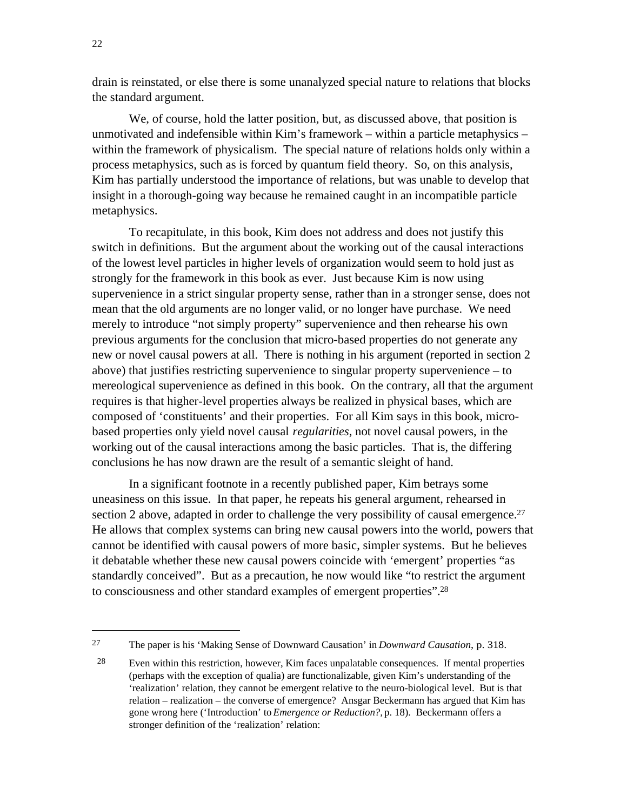drain is reinstated, or else there is some unanalyzed special nature to relations that blocks the standard argument.

We, of course, hold the latter position, but, as discussed above, that position is unmotivated and indefensible within Kim's framework – within a particle metaphysics – within the framework of physicalism. The special nature of relations holds only within a process metaphysics, such as is forced by quantum field theory. So, on this analysis, Kim has partially understood the importance of relations, but was unable to develop that insight in a thorough-going way because he remained caught in an incompatible particle metaphysics.

To recapitulate, in this book, Kim does not address and does not justify this switch in definitions. But the argument about the working out of the causal interactions of the lowest level particles in higher levels of organization would seem to hold just as strongly for the framework in this book as ever. Just because Kim is now using supervenience in a strict singular property sense, rather than in a stronger sense, does not mean that the old arguments are no longer valid, or no longer have purchase. We need merely to introduce "not simply property" supervenience and then rehearse his own previous arguments for the conclusion that micro-based properties do not generate any new or novel causal powers at all. There is nothing in his argument (reported in section 2 above) that justifies restricting supervenience to singular property supervenience – to mereological supervenience as defined in this book. On the contrary, all that the argument requires is that higher-level properties always be realized in physical bases, which are composed of 'constituents' and their properties. For all Kim says in this book, microbased properties only yield novel causal *regularities*, not novel causal powers, in the working out of the causal interactions among the basic particles. That is, the differing conclusions he has now drawn are the result of a semantic sleight of hand.

In a significant footnote in a recently published paper, Kim betrays some uneasiness on this issue. In that paper, he repeats his general argument, rehearsed in section 2 above, adapted in order to challenge the very possibility of causal emergence.<sup>27</sup> He allows that complex systems can bring new causal powers into the world, powers that cannot be identified with causal powers of more basic, simpler systems. But he believes it debatable whether these new causal powers coincide with 'emergent' properties "as standardly conceived". But as a precaution, he now would like "to restrict the argument to consciousness and other standard examples of emergent properties".<sup>28</sup>

<sup>27</sup> The paper is his 'Making Sense of Downward Causation' in *Downward Causation*, p. 318.

<sup>28</sup> Even within this restriction, however, Kim faces unpalatable consequences. If mental properties (perhaps with the exception of qualia) are functionalizable, given Kim's understanding of the 'realization' relation, they cannot be emergent relative to the neuro-biological level. But is that relation – realization – the converse of emergence? Ansgar Beckermann has argued that Kim has gone wrong here ('Introduction' to *Emergence or Reduction?,* p. 18). Beckermann offers a stronger definition of the 'realization' relation: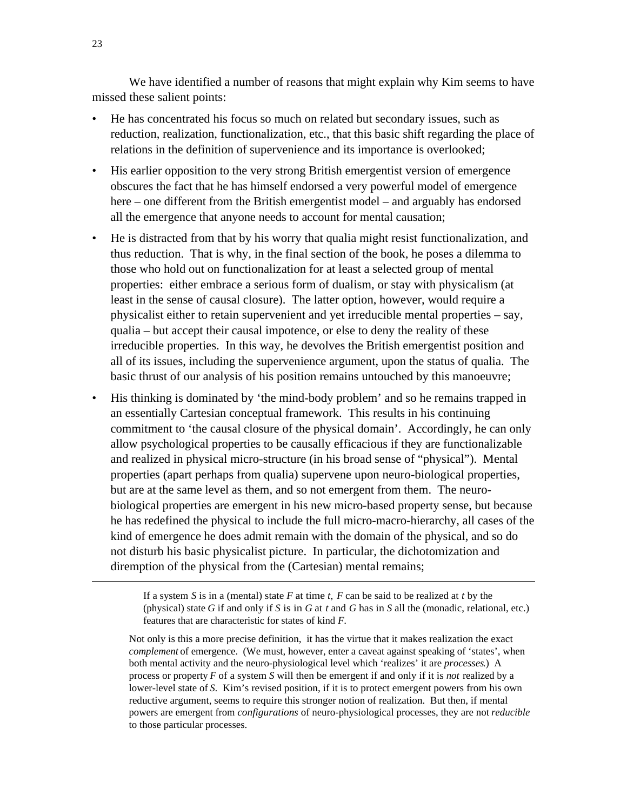We have identified a number of reasons that might explain why Kim seems to have missed these salient points:

- He has concentrated his focus so much on related but secondary issues, such as reduction, realization, functionalization, etc., that this basic shift regarding the place of relations in the definition of supervenience and its importance is overlooked;
- His earlier opposition to the very strong British emergentist version of emergence obscures the fact that he has himself endorsed a very powerful model of emergence here – one different from the British emergentist model – and arguably has endorsed all the emergence that anyone needs to account for mental causation;
- He is distracted from that by his worry that qualia might resist functionalization, and thus reduction. That is why, in the final section of the book, he poses a dilemma to those who hold out on functionalization for at least a selected group of mental properties: either embrace a serious form of dualism, or stay with physicalism (at least in the sense of causal closure). The latter option, however, would require a physicalist either to retain supervenient and yet irreducible mental properties – say, qualia – but accept their causal impotence, or else to deny the reality of these irreducible properties. In this way, he devolves the British emergentist position and all of its issues, including the supervenience argument, upon the status of qualia. The basic thrust of our analysis of his position remains untouched by this manoeuvre;
- His thinking is dominated by 'the mind-body problem' and so he remains trapped in an essentially Cartesian conceptual framework. This results in his continuing commitment to 'the causal closure of the physical domain'. Accordingly, he can only allow psychological properties to be causally efficacious if they are functionalizable and realized in physical micro-structure (in his broad sense of "physical"). Mental properties (apart perhaps from qualia) supervene upon neuro-biological properties, but are at the same level as them, and so not emergent from them. The neurobiological properties are emergent in his new micro-based property sense, but because he has redefined the physical to include the full micro-macro-hierarchy, all cases of the kind of emergence he does admit remain with the domain of the physical, and so do not disturb his basic physicalist picture. In particular, the dichotomization and diremption of the physical from the (Cartesian) mental remains;

If a system *S* is in a (mental) state *F* at time *t*, *F* can be said to be realized at *t* by the (physical) state *G* if and only if *S* is in *G* at *t* and *G* has in *S* all the (monadic, relational, etc.) features that are characteristic for states of kind *F*.

Not only is this a more precise definition, it has the virtue that it makes realization the exact *complement* of emergence. (We must, however, enter a caveat against speaking of 'states', when both mental activity and the neuro-physiological level which 'realizes' it are *processes*.) A process or property *F* of a system *S* will then be emergent if and only if it is *not* realized by a lower-level state of *S*. Kim's revised position, if it is to protect emergent powers from his own reductive argument, seems to require this stronger notion of realization. But then, if mental powers are emergent from *configurations* of neuro-physiological processes, they are not *reducible* to those particular processes.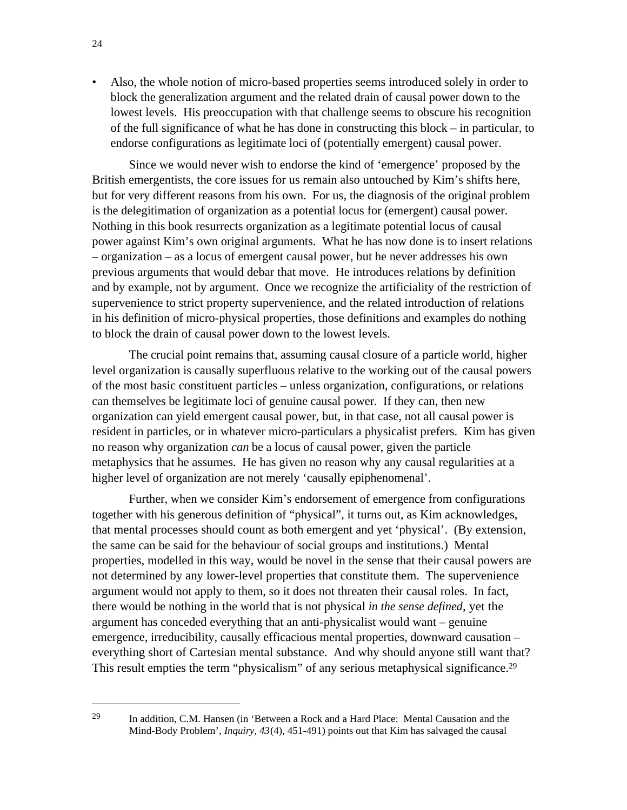• Also, the whole notion of micro-based properties seems introduced solely in order to block the generalization argument and the related drain of causal power down to the lowest levels. His preoccupation with that challenge seems to obscure his recognition of the full significance of what he has done in constructing this block – in particular, to endorse configurations as legitimate loci of (potentially emergent) causal power.

Since we would never wish to endorse the kind of 'emergence' proposed by the British emergentists, the core issues for us remain also untouched by Kim's shifts here, but for very different reasons from his own. For us, the diagnosis of the original problem is the delegitimation of organization as a potential locus for (emergent) causal power. Nothing in this book resurrects organization as a legitimate potential locus of causal power against Kim's own original arguments. What he has now done is to insert relations – organization – as a locus of emergent causal power, but he never addresses his own previous arguments that would debar that move. He introduces relations by definition and by example, not by argument. Once we recognize the artificiality of the restriction of supervenience to strict property supervenience, and the related introduction of relations in his definition of micro-physical properties, those definitions and examples do nothing to block the drain of causal power down to the lowest levels.

The crucial point remains that, assuming causal closure of a particle world, higher level organization is causally superfluous relative to the working out of the causal powers of the most basic constituent particles – unless organization, configurations, or relations can themselves be legitimate loci of genuine causal power. If they can, then new organization can yield emergent causal power, but, in that case, not all causal power is resident in particles, or in whatever micro-particulars a physicalist prefers. Kim has given no reason why organization *can* be a locus of causal power, given the particle metaphysics that he assumes. He has given no reason why any causal regularities at a higher level of organization are not merely 'causally epiphenomenal'.

Further, when we consider Kim's endorsement of emergence from configurations together with his generous definition of "physical", it turns out, as Kim acknowledges, that mental processes should count as both emergent and yet 'physical'. (By extension, the same can be said for the behaviour of social groups and institutions.) Mental properties, modelled in this way, would be novel in the sense that their causal powers are not determined by any lower-level properties that constitute them. The supervenience argument would not apply to them, so it does not threaten their causal roles. In fact, there would be nothing in the world that is not physical *in the sense defined*, yet the argument has conceded everything that an anti-physicalist would want – genuine emergence, irreducibility, causally efficacious mental properties, downward causation – everything short of Cartesian mental substance. And why should anyone still want that? This result empties the term "physicalism" of any serious metaphysical significance.<sup>29</sup>

<sup>&</sup>lt;sup>29</sup> In addition, C.M. Hansen (in 'Between a Rock and a Hard Place: Mental Causation and the Mind-Body Problem', *Inquiry, 43*(4), 451-491) points out that Kim has salvaged the causal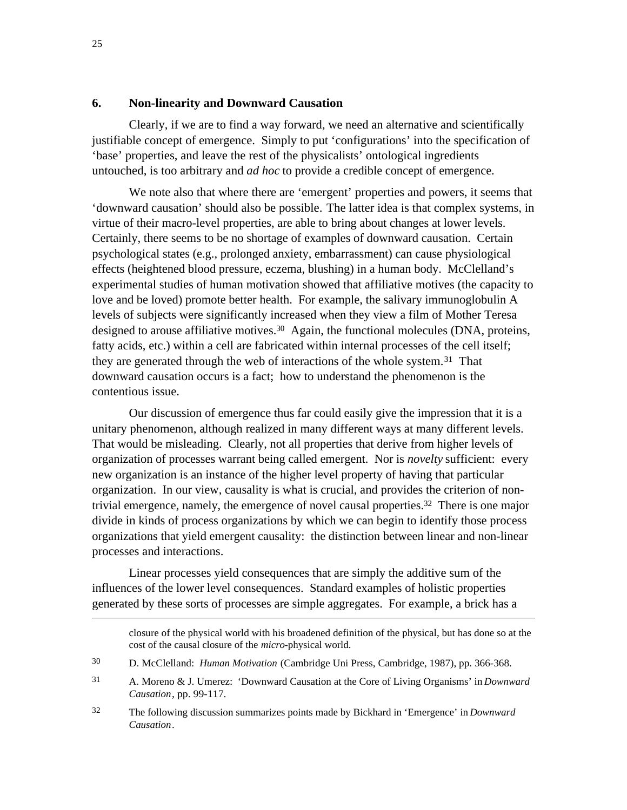#### **6. Non-linearity and Downward Causation**

Clearly, if we are to find a way forward, we need an alternative and scientifically justifiable concept of emergence. Simply to put 'configurations' into the specification of 'base' properties, and leave the rest of the physicalists' ontological ingredients untouched, is too arbitrary and *ad hoc* to provide a credible concept of emergence.

We note also that where there are 'emergent' properties and powers, it seems that 'downward causation' should also be possible. The latter idea is that complex systems, in virtue of their macro-level properties, are able to bring about changes at lower levels. Certainly, there seems to be no shortage of examples of downward causation. Certain psychological states (e.g., prolonged anxiety, embarrassment) can cause physiological effects (heightened blood pressure, eczema, blushing) in a human body. McClelland's experimental studies of human motivation showed that affiliative motives (the capacity to love and be loved) promote better health. For example, the salivary immunoglobulin A levels of subjects were significantly increased when they view a film of Mother Teresa designed to arouse affiliative motives.<sup>30</sup> Again, the functional molecules (DNA, proteins, fatty acids, etc.) within a cell are fabricated within internal processes of the cell itself; they are generated through the web of interactions of the whole system.<sup>31</sup> That downward causation occurs is a fact; how to understand the phenomenon is the contentious issue.

Our discussion of emergence thus far could easily give the impression that it is a unitary phenomenon, although realized in many different ways at many different levels. That would be misleading. Clearly, not all properties that derive from higher levels of organization of processes warrant being called emergent. Nor is *novelty* sufficient: every new organization is an instance of the higher level property of having that particular organization. In our view, causality is what is crucial, and provides the criterion of nontrivial emergence, namely, the emergence of novel causal properties.<sup>32</sup> There is one major divide in kinds of process organizations by which we can begin to identify those process organizations that yield emergent causality: the distinction between linear and non-linear processes and interactions.

Linear processes yield consequences that are simply the additive sum of the influences of the lower level consequences. Standard examples of holistic properties generated by these sorts of processes are simple aggregates. For example, a brick has a

<sup>32</sup> The following discussion summarizes points made by Bickhard in 'Emergence' in *Downward Causation*.

closure of the physical world with his broadened definition of the physical, but has done so at the cost of the causal closure of the *micro*-physical world.

<sup>30</sup> D. McClelland: *Human Motivation* (Cambridge Uni Press, Cambridge, 1987), pp. 366-368.

<sup>31</sup> A. Moreno & J. Umerez: 'Downward Causation at the Core of Living Organisms' in *Downward Causation*, pp. 99-117.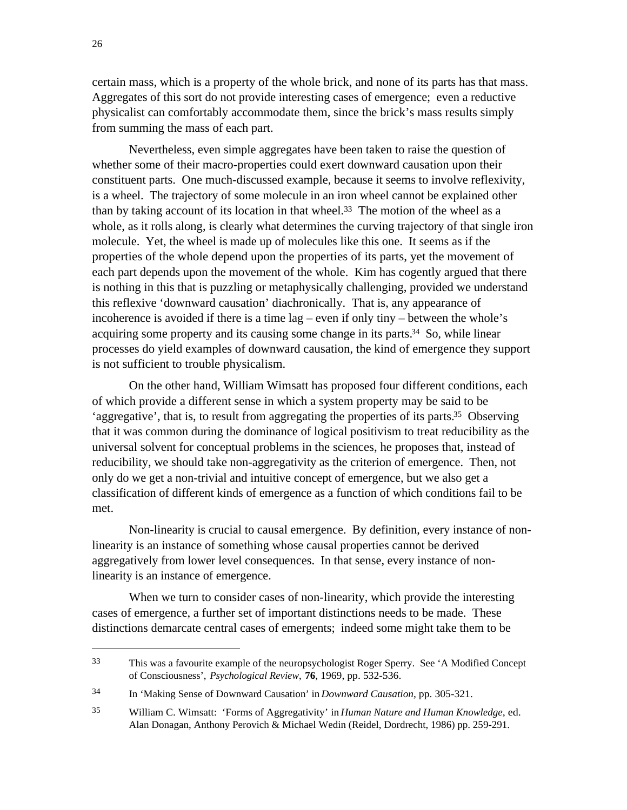certain mass, which is a property of the whole brick, and none of its parts has that mass. Aggregates of this sort do not provide interesting cases of emergence; even a reductive physicalist can comfortably accommodate them, since the brick's mass results simply from summing the mass of each part.

Nevertheless, even simple aggregates have been taken to raise the question of whether some of their macro-properties could exert downward causation upon their constituent parts. One much-discussed example, because it seems to involve reflexivity, is a wheel. The trajectory of some molecule in an iron wheel cannot be explained other than by taking account of its location in that wheel.33 The motion of the wheel as a whole, as it rolls along, is clearly what determines the curving trajectory of that single iron molecule. Yet, the wheel is made up of molecules like this one. It seems as if the properties of the whole depend upon the properties of its parts, yet the movement of each part depends upon the movement of the whole. Kim has cogently argued that there is nothing in this that is puzzling or metaphysically challenging, provided we understand this reflexive 'downward causation' diachronically. That is, any appearance of incoherence is avoided if there is a time lag – even if only tiny – between the whole's acquiring some property and its causing some change in its parts.<sup>34</sup> So, while linear processes do yield examples of downward causation, the kind of emergence they support is not sufficient to trouble physicalism.

On the other hand, William Wimsatt has proposed four different conditions, each of which provide a different sense in which a system property may be said to be 'aggregative', that is, to result from aggregating the properties of its parts.35 Observing that it was common during the dominance of logical positivism to treat reducibility as the universal solvent for conceptual problems in the sciences, he proposes that, instead of reducibility, we should take non-aggregativity as the criterion of emergence. Then, not only do we get a non-trivial and intuitive concept of emergence, but we also get a classification of different kinds of emergence as a function of which conditions fail to be met.

Non-linearity is crucial to causal emergence. By definition, every instance of nonlinearity is an instance of something whose causal properties cannot be derived aggregatively from lower level consequences. In that sense, every instance of nonlinearity is an instance of emergence.

When we turn to consider cases of non-linearity, which provide the interesting cases of emergence, a further set of important distinctions needs to be made. These distinctions demarcate central cases of emergents; indeed some might take them to be

<sup>33</sup> This was a favourite example of the neuropsychologist Roger Sperry. See 'A Modified Concept of Consciousness', *Psychological Review*, **76**, 1969, pp. 532-536.

<sup>34</sup> In 'Making Sense of Downward Causation' in *Downward Causation*, pp. 305-321.

<sup>35</sup> William C. Wimsatt: 'Forms of Aggregativity' in *Human Nature and Human Knowledge*, ed. Alan Donagan, Anthony Perovich & Michael Wedin (Reidel, Dordrecht, 1986) pp. 259-291.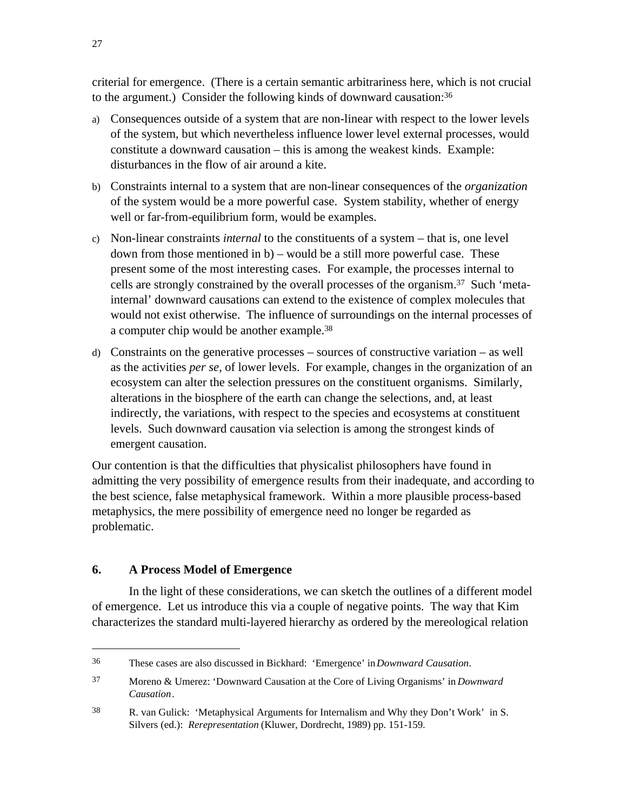criterial for emergence. (There is a certain semantic arbitrariness here, which is not crucial to the argument.) Consider the following kinds of downward causation:<sup>36</sup>

- a) Consequences outside of a system that are non-linear with respect to the lower levels of the system, but which nevertheless influence lower level external processes, would constitute a downward causation – this is among the weakest kinds. Example: disturbances in the flow of air around a kite.
- b) Constraints internal to a system that are non-linear consequences of the *organization* of the system would be a more powerful case. System stability, whether of energy well or far-from-equilibrium form, would be examples.
- c) Non-linear constraints *internal* to the constituents of a system that is, one level down from those mentioned in b) – would be a still more powerful case. These present some of the most interesting cases. For example, the processes internal to cells are strongly constrained by the overall processes of the organism.37 Such 'metainternal' downward causations can extend to the existence of complex molecules that would not exist otherwise. The influence of surroundings on the internal processes of a computer chip would be another example.<sup>38</sup>
- d) Constraints on the generative processes sources of constructive variation as well as the activities *per se*, of lower levels. For example, changes in the organization of an ecosystem can alter the selection pressures on the constituent organisms. Similarly, alterations in the biosphere of the earth can change the selections, and, at least indirectly, the variations, with respect to the species and ecosystems at constituent levels. Such downward causation via selection is among the strongest kinds of emergent causation.

Our contention is that the difficulties that physicalist philosophers have found in admitting the very possibility of emergence results from their inadequate, and according to the best science, false metaphysical framework. Within a more plausible process-based metaphysics, the mere possibility of emergence need no longer be regarded as problematic.

# **6. A Process Model of Emergence**

 $\overline{a}$ 

In the light of these considerations, we can sketch the outlines of a different model of emergence. Let us introduce this via a couple of negative points. The way that Kim characterizes the standard multi-layered hierarchy as ordered by the mereological relation

<sup>36</sup> These cases are also discussed in Bickhard: 'Emergence' in *Downward Causation*.

<sup>37</sup> Moreno & Umerez: 'Downward Causation at the Core of Living Organisms' in *Downward Causation*.

<sup>38</sup> R. van Gulick: 'Metaphysical Arguments for Internalism and Why they Don't Work' in S. Silvers (ed.): *Rerepresentation* (Kluwer, Dordrecht, 1989) pp. 151-159.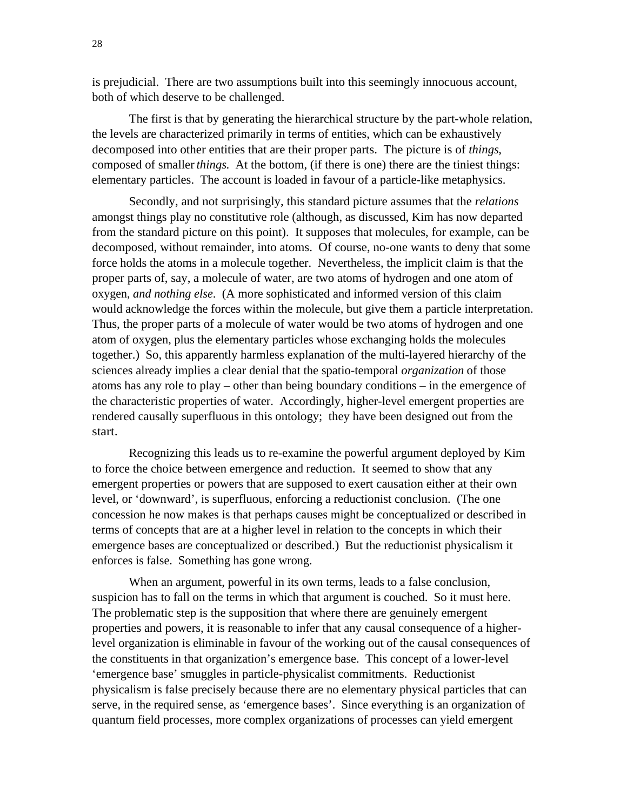is prejudicial. There are two assumptions built into this seemingly innocuous account, both of which deserve to be challenged.

The first is that by generating the hierarchical structure by the part-whole relation, the levels are characterized primarily in terms of entities, which can be exhaustively decomposed into other entities that are their proper parts. The picture is of *things*, composed of smaller *things*. At the bottom, (if there is one) there are the tiniest things: elementary particles. The account is loaded in favour of a particle-like metaphysics.

Secondly, and not surprisingly, this standard picture assumes that the *relations* amongst things play no constitutive role (although, as discussed, Kim has now departed from the standard picture on this point). It supposes that molecules, for example, can be decomposed, without remainder, into atoms. Of course, no-one wants to deny that some force holds the atoms in a molecule together. Nevertheless, the implicit claim is that the proper parts of, say, a molecule of water, are two atoms of hydrogen and one atom of oxygen, *and nothing else*. (A more sophisticated and informed version of this claim would acknowledge the forces within the molecule, but give them a particle interpretation. Thus, the proper parts of a molecule of water would be two atoms of hydrogen and one atom of oxygen, plus the elementary particles whose exchanging holds the molecules together.) So, this apparently harmless explanation of the multi-layered hierarchy of the sciences already implies a clear denial that the spatio-temporal *organization* of those atoms has any role to play – other than being boundary conditions – in the emergence of the characteristic properties of water. Accordingly, higher-level emergent properties are rendered causally superfluous in this ontology; they have been designed out from the start.

Recognizing this leads us to re-examine the powerful argument deployed by Kim to force the choice between emergence and reduction. It seemed to show that any emergent properties or powers that are supposed to exert causation either at their own level, or 'downward', is superfluous, enforcing a reductionist conclusion. (The one concession he now makes is that perhaps causes might be conceptualized or described in terms of concepts that are at a higher level in relation to the concepts in which their emergence bases are conceptualized or described.) But the reductionist physicalism it enforces is false. Something has gone wrong.

When an argument, powerful in its own terms, leads to a false conclusion, suspicion has to fall on the terms in which that argument is couched. So it must here. The problematic step is the supposition that where there are genuinely emergent properties and powers, it is reasonable to infer that any causal consequence of a higherlevel organization is eliminable in favour of the working out of the causal consequences of the constituents in that organization's emergence base. This concept of a lower-level 'emergence base' smuggles in particle-physicalist commitments. Reductionist physicalism is false precisely because there are no elementary physical particles that can serve, in the required sense, as 'emergence bases'. Since everything is an organization of quantum field processes, more complex organizations of processes can yield emergent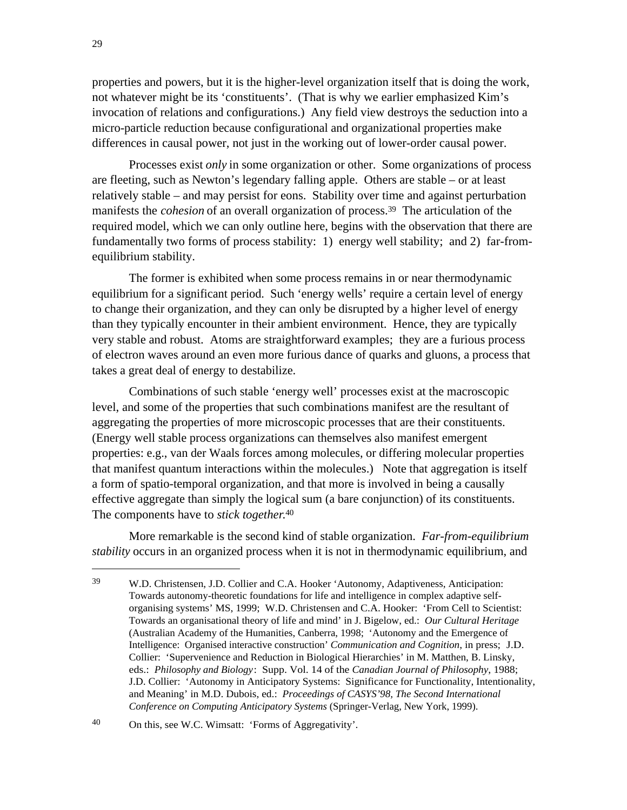properties and powers, but it is the higher-level organization itself that is doing the work, not whatever might be its 'constituents'. (That is why we earlier emphasized Kim's invocation of relations and configurations.) Any field view destroys the seduction into a micro-particle reduction because configurational and organizational properties make differences in causal power, not just in the working out of lower-order causal power.

Processes exist *only* in some organization or other. Some organizations of process are fleeting, such as Newton's legendary falling apple. Others are stable – or at least relatively stable – and may persist for eons. Stability over time and against perturbation manifests the *cohesion* of an overall organization of process.39 The articulation of the required model, which we can only outline here, begins with the observation that there are fundamentally two forms of process stability: 1) energy well stability; and 2) far-fromequilibrium stability.

The former is exhibited when some process remains in or near thermodynamic equilibrium for a significant period. Such 'energy wells' require a certain level of energy to change their organization, and they can only be disrupted by a higher level of energy than they typically encounter in their ambient environment. Hence, they are typically very stable and robust. Atoms are straightforward examples; they are a furious process of electron waves around an even more furious dance of quarks and gluons, a process that takes a great deal of energy to destabilize.

Combinations of such stable 'energy well' processes exist at the macroscopic level, and some of the properties that such combinations manifest are the resultant of aggregating the properties of more microscopic processes that are their constituents. (Energy well stable process organizations can themselves also manifest emergent properties: e.g., van der Waals forces among molecules, or differing molecular properties that manifest quantum interactions within the molecules.) Note that aggregation is itself a form of spatio-temporal organization, and that more is involved in being a causally effective aggregate than simply the logical sum (a bare conjunction) of its constituents. The components have to *stick together*. 40

More remarkable is the second kind of stable organization. *Far-from-equilibrium stability* occurs in an organized process when it is not in thermodynamic equilibrium, and

<sup>39</sup> W.D. Christensen, J.D. Collier and C.A. Hooker 'Autonomy, Adaptiveness, Anticipation: Towards autonomy-theoretic foundations for life and intelligence in complex adaptive selforganising systems' MS, 1999; W.D. Christensen and C.A. Hooker: 'From Cell to Scientist: Towards an organisational theory of life and mind' in J. Bigelow, ed.: *Our Cultural Heritage* (Australian Academy of the Humanities, Canberra, 1998; 'Autonomy and the Emergence of Intelligence: Organised interactive construction' *Communication and Cognition*, in press; J.D. Collier: 'Supervenience and Reduction in Biological Hierarchies' in M. Matthen, B. Linsky, eds.: *Philosophy and Biology*: Supp. Vol. 14 of the *Canadian Journal of Philosophy*, 1988; J.D. Collier: 'Autonomy in Anticipatory Systems: Significance for Functionality, Intentionality, and Meaning' in M.D. Dubois, ed.: *Proceedings of CASYS'98, The Second International Conference on Computing Anticipatory Systems* (Springer-Verlag, New York, 1999).

<sup>40</sup> On this, see W.C. Wimsatt: 'Forms of Aggregativity'.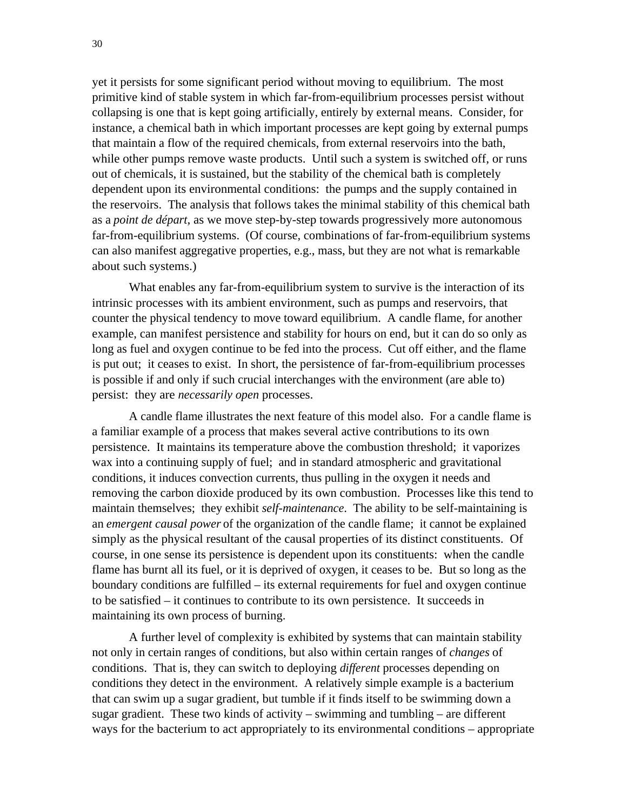yet it persists for some significant period without moving to equilibrium. The most primitive kind of stable system in which far-from-equilibrium processes persist without collapsing is one that is kept going artificially, entirely by external means. Consider, for instance, a chemical bath in which important processes are kept going by external pumps that maintain a flow of the required chemicals, from external reservoirs into the bath, while other pumps remove waste products. Until such a system is switched off, or runs out of chemicals, it is sustained, but the stability of the chemical bath is completely dependent upon its environmental conditions: the pumps and the supply contained in the reservoirs. The analysis that follows takes the minimal stability of this chemical bath as a *point de départ*, as we move step-by-step towards progressively more autonomous far-from-equilibrium systems. (Of course, combinations of far-from-equilibrium systems can also manifest aggregative properties, e.g., mass, but they are not what is remarkable about such systems.)

What enables any far-from-equilibrium system to survive is the interaction of its intrinsic processes with its ambient environment, such as pumps and reservoirs, that counter the physical tendency to move toward equilibrium. A candle flame, for another example, can manifest persistence and stability for hours on end, but it can do so only as long as fuel and oxygen continue to be fed into the process. Cut off either, and the flame is put out; it ceases to exist. In short, the persistence of far-from-equilibrium processes is possible if and only if such crucial interchanges with the environment (are able to) persist: they are *necessarily open* processes.

A candle flame illustrates the next feature of this model also. For a candle flame is a familiar example of a process that makes several active contributions to its own persistence. It maintains its temperature above the combustion threshold; it vaporizes wax into a continuing supply of fuel; and in standard atmospheric and gravitational conditions, it induces convection currents, thus pulling in the oxygen it needs and removing the carbon dioxide produced by its own combustion. Processes like this tend to maintain themselves; they exhibit *self-maintenance*. The ability to be self-maintaining is an *emergent causal power* of the organization of the candle flame; it cannot be explained simply as the physical resultant of the causal properties of its distinct constituents. Of course, in one sense its persistence is dependent upon its constituents: when the candle flame has burnt all its fuel, or it is deprived of oxygen, it ceases to be. But so long as the boundary conditions are fulfilled – its external requirements for fuel and oxygen continue to be satisfied – it continues to contribute to its own persistence. It succeeds in maintaining its own process of burning.

A further level of complexity is exhibited by systems that can maintain stability not only in certain ranges of conditions, but also within certain ranges of *changes* of conditions. That is, they can switch to deploying *different* processes depending on conditions they detect in the environment. A relatively simple example is a bacterium that can swim up a sugar gradient, but tumble if it finds itself to be swimming down a sugar gradient. These two kinds of activity – swimming and tumbling – are different ways for the bacterium to act appropriately to its environmental conditions – appropriate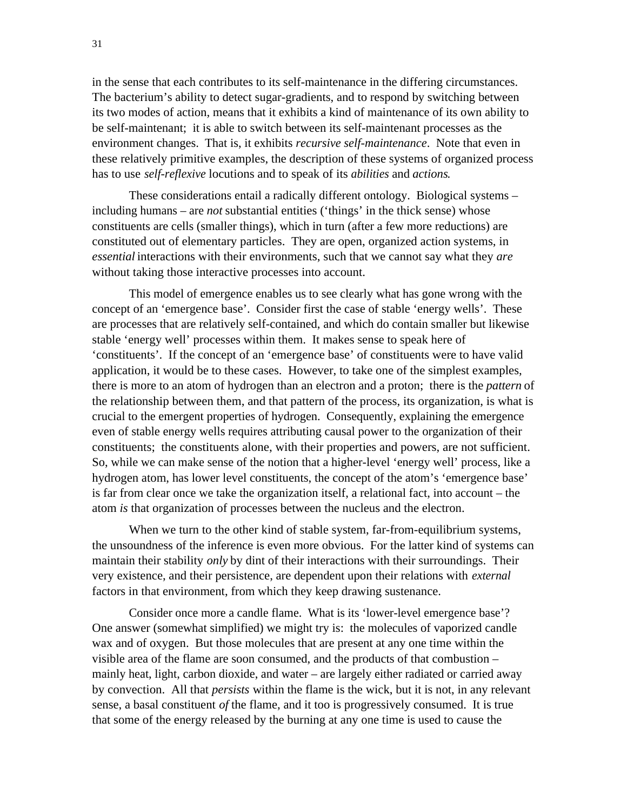in the sense that each contributes to its self-maintenance in the differing circumstances. The bacterium's ability to detect sugar-gradients, and to respond by switching between its two modes of action, means that it exhibits a kind of maintenance of its own ability to be self-maintenant; it is able to switch between its self-maintenant processes as the environment changes. That is, it exhibits *recursive self-maintenance*. Note that even in these relatively primitive examples, the description of these systems of organized process has to use *self-reflexive* locutions and to speak of its *abilities* and *actions*.

These considerations entail a radically different ontology. Biological systems – including humans – are *not* substantial entities ('things' in the thick sense) whose constituents are cells (smaller things), which in turn (after a few more reductions) are constituted out of elementary particles. They are open, organized action systems, in *essential* interactions with their environments, such that we cannot say what they *are* without taking those interactive processes into account.

This model of emergence enables us to see clearly what has gone wrong with the concept of an 'emergence base'. Consider first the case of stable 'energy wells'. These are processes that are relatively self-contained, and which do contain smaller but likewise stable 'energy well' processes within them. It makes sense to speak here of 'constituents'. If the concept of an 'emergence base' of constituents were to have valid application, it would be to these cases. However, to take one of the simplest examples, there is more to an atom of hydrogen than an electron and a proton; there is the *pattern* of the relationship between them, and that pattern of the process, its organization, is what is crucial to the emergent properties of hydrogen. Consequently, explaining the emergence even of stable energy wells requires attributing causal power to the organization of their constituents; the constituents alone, with their properties and powers, are not sufficient. So, while we can make sense of the notion that a higher-level 'energy well' process, like a hydrogen atom, has lower level constituents, the concept of the atom's 'emergence base' is far from clear once we take the organization itself, a relational fact, into account – the atom *is* that organization of processes between the nucleus and the electron.

When we turn to the other kind of stable system, far-from-equilibrium systems, the unsoundness of the inference is even more obvious. For the latter kind of systems can maintain their stability *only* by dint of their interactions with their surroundings. Their very existence, and their persistence, are dependent upon their relations with *external* factors in that environment, from which they keep drawing sustenance.

Consider once more a candle flame. What is its 'lower-level emergence base'? One answer (somewhat simplified) we might try is: the molecules of vaporized candle wax and of oxygen. But those molecules that are present at any one time within the visible area of the flame are soon consumed, and the products of that combustion – mainly heat, light, carbon dioxide, and water – are largely either radiated or carried away by convection. All that *persists* within the flame is the wick, but it is not, in any relevant sense, a basal constituent *of* the flame, and it too is progressively consumed. It is true that some of the energy released by the burning at any one time is used to cause the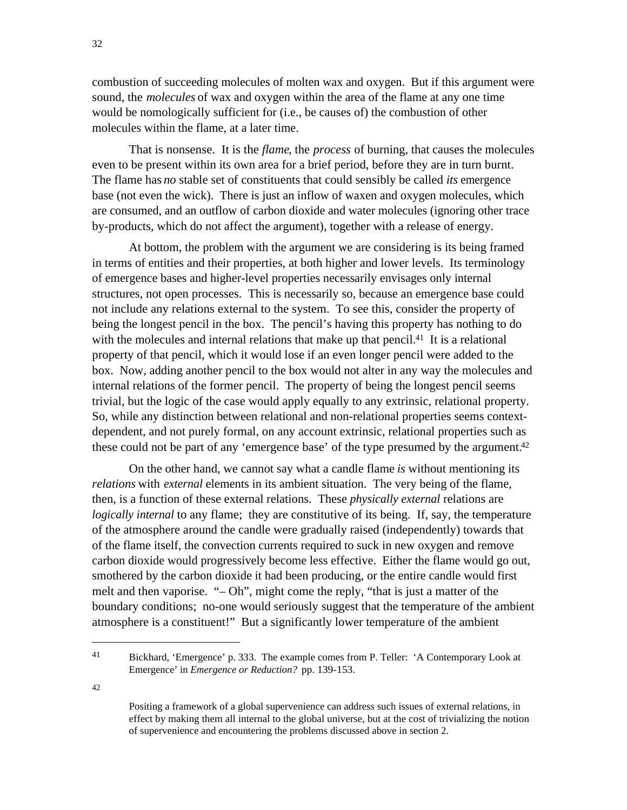combustion of succeeding molecules of molten wax and oxygen. But if this argument were sound, the *molecules* of wax and oxygen within the area of the flame at any one time would be nomologically sufficient for (i.e., be causes of) the combustion of other molecules within the flame, at a later time.

That is nonsense. It is the *flame*, the *process* of burning, that causes the molecules even to be present within its own area for a brief period, before they are in turn burnt. The flame has *no* stable set of constituents that could sensibly be called *its* emergence base (not even the wick). There is just an inflow of waxen and oxygen molecules, which are consumed, and an outflow of carbon dioxide and water molecules (ignoring other trace by-products, which do not affect the argument), together with a release of energy.

At bottom, the problem with the argument we are considering is its being framed in terms of entities and their properties, at both higher and lower levels. Its terminology of emergence bases and higher-level properties necessarily envisages only internal structures, not open processes. This is necessarily so, because an emergence base could not include any relations external to the system. To see this, consider the property of being the longest pencil in the box. The pencil's having this property has nothing to do with the molecules and internal relations that make up that pencil.<sup>41</sup> It is a relational property of that pencil, which it would lose if an even longer pencil were added to the box. Now, adding another pencil to the box would not alter in any way the molecules and internal relations of the former pencil. The property of being the longest pencil seems trivial, but the logic of the case would apply equally to any extrinsic, relational property. So, while any distinction between relational and non-relational properties seems contextdependent, and not purely formal, on any account extrinsic, relational properties such as these could not be part of any 'emergence base' of the type presumed by the argument.<sup>42</sup>

On the other hand, we cannot say what a candle flame *is* without mentioning its *relations* with *external* elements in its ambient situation. The very being of the flame, then, is a function of these external relations. These *physically external* relations are *logically internal* to any flame; they are constitutive of its being. If, say, the temperature of the atmosphere around the candle were gradually raised (independently) towards that of the flame itself, the convection currents required to suck in new oxygen and remove carbon dioxide would progressively become less effective. Either the flame would go out, smothered by the carbon dioxide it had been producing, or the entire candle would first melt and then vaporise. "– Oh", might come the reply, "that is just a matter of the boundary conditions; no-one would seriously suggest that the temperature of the ambient atmosphere is a constituent!" But a significantly lower temperature of the ambient

Positing a framework of a global supervenience can address such issues of external relations, in effect by making them all internal to the global universe, but at the cost of trivializing the notion of supervenience and encountering the problems discussed above in section 2.

42

<sup>41</sup> Bickhard, 'Emergence' p. 333. The example comes from P. Teller: 'A Contemporary Look at Emergence' in *Emergence or Reduction?* pp. 139-153.